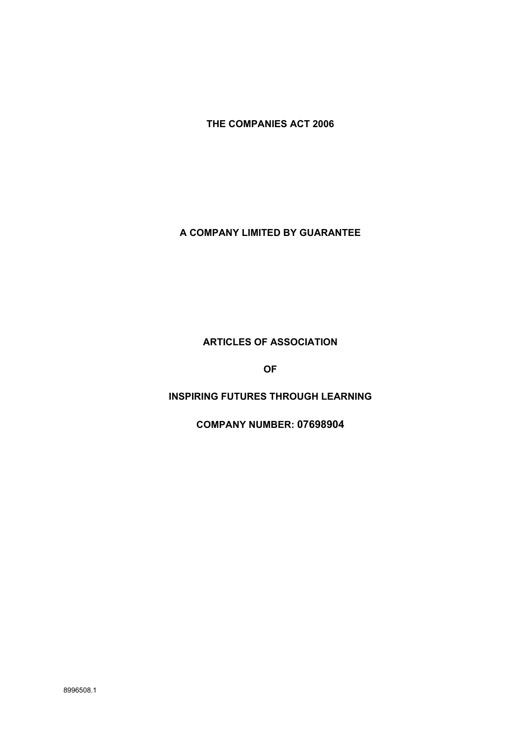**THE COMPANIES ACT 2006**

## **A COMPANY LIMITED BY GUARANTEE**

## **ARTICLES OF ASSOCIATION**

**OF**

# **INSPIRING FUTURES THROUGH LEARNING**

**COMPANY NUMBER: 07698904**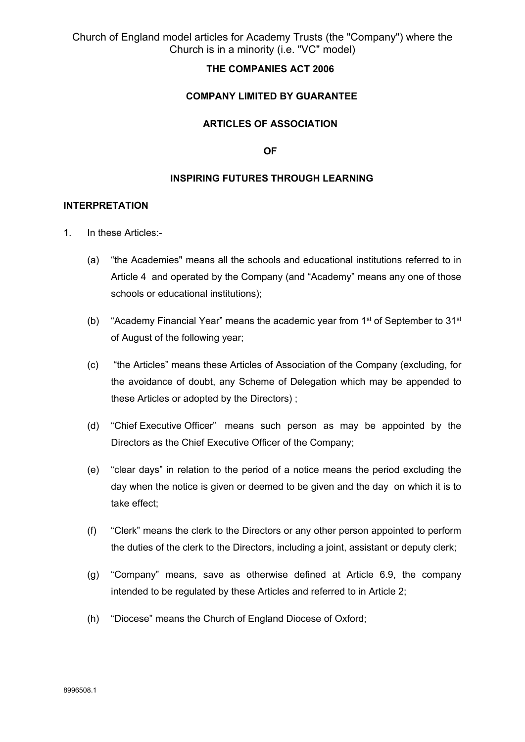## **THE COMPANIES ACT 2006**

### **COMPANY LIMITED BY GUARANTEE**

### **ARTICLES OF ASSOCIATION**

**OF**

#### **INSPIRING FUTURES THROUGH LEARNING**

#### **INTERPRETATION**

- 1. In these Articles:-
	- (a) "the Academies" means all the schools and educational institutions referred to in Article 4 and operated by the Company (and "Academy" means any one of those schools or educational institutions);
	- (b) "Academy Financial Year" means the academic year from  $1<sup>st</sup>$  of September to  $31<sup>st</sup>$ of August of the following year;
	- (c) "the Articles" means these Articles of Association of the Company (excluding, for the avoidance of doubt, any Scheme of Delegation which may be appended to these Articles or adopted by the Directors) ;
	- (d) "Chief Executive Officer" means such person as may be appointed by the Directors as the Chief Executive Officer of the Company;
	- (e) "clear days" in relation to the period of a notice means the period excluding the day when the notice is given or deemed to be given and the day on which it is to take effect;
	- (f) "Clerk" means the clerk to the Directors or any other person appointed to perform the duties of the clerk to the Directors, including a joint, assistant or deputy clerk;
	- (g) "Company" means, save as otherwise defined at Article 6.9, the company intended to be regulated by these Articles and referred to in Article 2;
	- (h) "Diocese" means the Church of England Diocese of Oxford;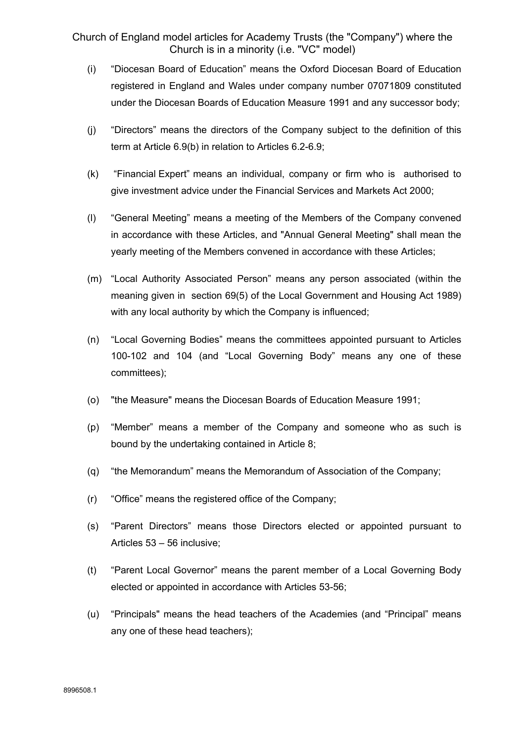- (i) "Diocesan Board of Education" means the Oxford Diocesan Board of Education registered in England and Wales under company number 07071809 constituted under the Diocesan Boards of Education Measure 1991 and any successor body;
- (j) "Directors" means the directors of the Company subject to the definition of this term at Article 6.9(b) in relation to Articles 6.2-6.9;
- (k) "Financial Expert" means an individual, company or firm who is authorised to give investment advice under the Financial Services and Markets Act 2000;
- (l) "General Meeting" means a meeting of the Members of the Company convened in accordance with these Articles, and "Annual General Meeting" shall mean the yearly meeting of the Members convened in accordance with these Articles;
- (m) "Local Authority Associated Person" means any person associated (within the meaning given in section 69(5) of the Local Government and Housing Act 1989) with any local authority by which the Company is influenced;
- (n) "Local Governing Bodies" means the committees appointed pursuant to Articles 100-102 and 104 (and "Local Governing Body" means any one of these committees);
- (o) "the Measure" means the Diocesan Boards of Education Measure 1991;
- (p) "Member" means a member of the Company and someone who as such is bound by the undertaking contained in Article 8;
- (q) "the Memorandum" means the Memorandum of Association of the Company;
- (r) "Office" means the registered office of the Company;
- (s) "Parent Directors" means those Directors elected or appointed pursuant to Articles 53 – 56 inclusive;
- (t) "Parent Local Governor" means the parent member of a Local Governing Body elected or appointed in accordance with Articles 53-56;
- (u) "Principals" means the head teachers of the Academies (and "Principal" means any one of these head teachers);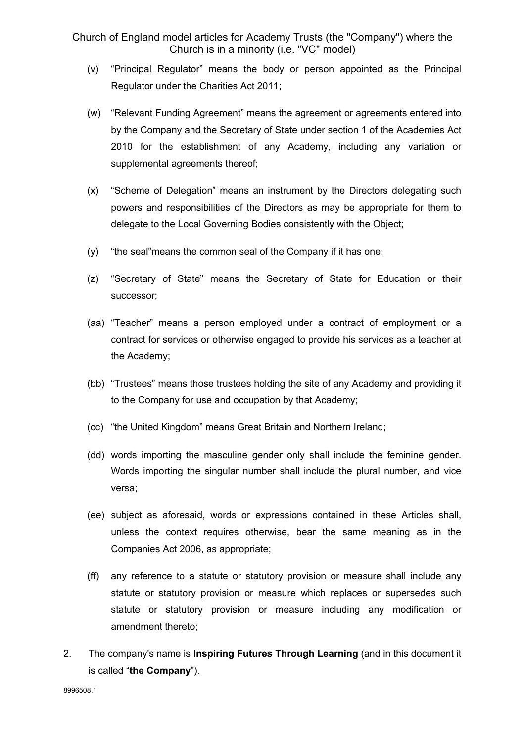- (v) "Principal Regulator" means the body or person appointed as the Principal Regulator under the Charities Act 2011;
- (w) "Relevant Funding Agreement" means the agreement or agreements entered into by the Company and the Secretary of State under section 1 of the Academies Act 2010 for the establishment of any Academy, including any variation or supplemental agreements thereof;
- (x) "Scheme of Delegation" means an instrument by the Directors delegating such powers and responsibilities of the Directors as may be appropriate for them to delegate to the Local Governing Bodies consistently with the Object;
- (y) "the seal"means the common seal of the Company if it has one;
- (z) "Secretary of State" means the Secretary of State for Education or their successor;
- (aa) "Teacher" means a person employed under a contract of employment or a contract for services or otherwise engaged to provide his services as a teacher at the Academy;
- (bb) "Trustees" means those trustees holding the site of any Academy and providing it to the Company for use and occupation by that Academy;
- (cc) "the United Kingdom" means Great Britain and Northern Ireland;
- (dd) words importing the masculine gender only shall include the feminine gender. Words importing the singular number shall include the plural number, and vice versa;
- (ee) subject as aforesaid, words or expressions contained in these Articles shall, unless the context requires otherwise, bear the same meaning as in the Companies Act 2006, as appropriate;
- (ff) any reference to a statute or statutory provision or measure shall include any statute or statutory provision or measure which replaces or supersedes such statute or statutory provision or measure including any modification or amendment thereto;
- 2. The company's name is **Inspiring Futures Through Learning** (and in this document it is called "**the Company**").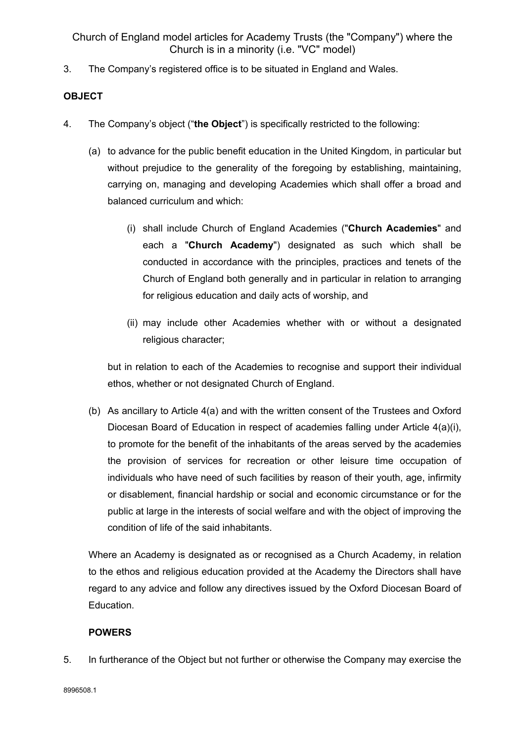3. The Company's registered office is to be situated in England and Wales.

# **OBJECT**

- 4. The Company's object ("**the Object**") is specifically restricted to the following:
	- (a) to advance for the public benefit education in the United Kingdom, in particular but without prejudice to the generality of the foregoing by establishing, maintaining, carrying on, managing and developing Academies which shall offer a broad and balanced curriculum and which:
		- (i) shall include Church of England Academies ("**Church Academies**" and each a "**Church Academy**") designated as such which shall be conducted in accordance with the principles, practices and tenets of the Church of England both generally and in particular in relation to arranging for religious education and daily acts of worship, and
		- (ii) may include other Academies whether with or without a designated religious character;

but in relation to each of the Academies to recognise and support their individual ethos, whether or not designated Church of England.

(b) As ancillary to Article 4(a) and with the written consent of the Trustees and Oxford Diocesan Board of Education in respect of academies falling under Article 4(a)(i), to promote for the benefit of the inhabitants of the areas served by the academies the provision of services for recreation or other leisure time occupation of individuals who have need of such facilities by reason of their youth, age, infirmity or disablement, financial hardship or social and economic circumstance or for the public at large in the interests of social welfare and with the object of improving the condition of life of the said inhabitants.

Where an Academy is designated as or recognised as a Church Academy, in relation to the ethos and religious education provided at the Academy the Directors shall have regard to any advice and follow any directives issued by the Oxford Diocesan Board of Education.

# **POWERS**

5. In furtherance of the Object but not further or otherwise the Company may exercise the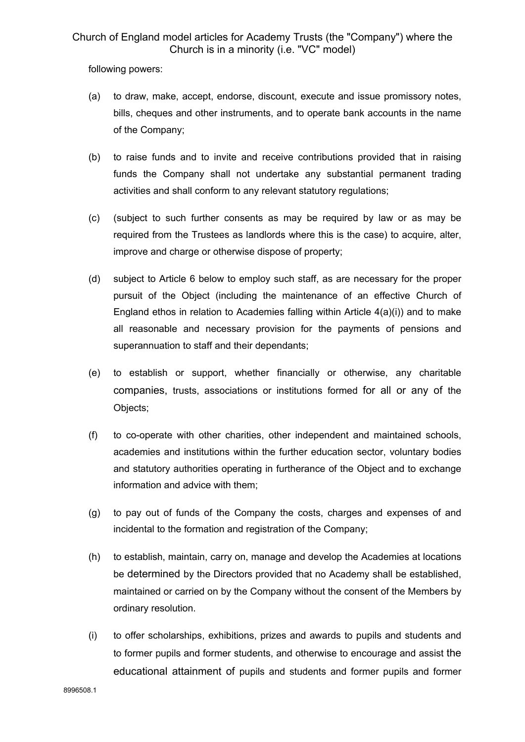following powers:

- (a) to draw, make, accept, endorse, discount, execute and issue promissory notes, bills, cheques and other instruments, and to operate bank accounts in the name of the Company;
- (b) to raise funds and to invite and receive contributions provided that in raising funds the Company shall not undertake any substantial permanent trading activities and shall conform to any relevant statutory regulations;
- (c) (subject to such further consents as may be required by law or as may be required from the Trustees as landlords where this is the case) to acquire, alter, improve and charge or otherwise dispose of property;
- (d) subject to Article 6 below to employ such staff, as are necessary for the proper pursuit of the Object (including the maintenance of an effective Church of England ethos in relation to Academies falling within Article 4(a)(i)) and to make all reasonable and necessary provision for the payments of pensions and superannuation to staff and their dependants;
- (e) to establish or support, whether financially or otherwise, any charitable companies, trusts, associations or institutions formed for all or any of the Objects;
- (f) to co-operate with other charities, other independent and maintained schools, academies and institutions within the further education sector, voluntary bodies and statutory authorities operating in furtherance of the Object and to exchange information and advice with them;
- (g) to pay out of funds of the Company the costs, charges and expenses of and incidental to the formation and registration of the Company;
- (h) to establish, maintain, carry on, manage and develop the Academies at locations be determined by the Directors provided that no Academy shall be established, maintained or carried on by the Company without the consent of the Members by ordinary resolution.
- (i) to offer scholarships, exhibitions, prizes and awards to pupils and students and to former pupils and former students, and otherwise to encourage and assist the educational attainment of pupils and students and former pupils and former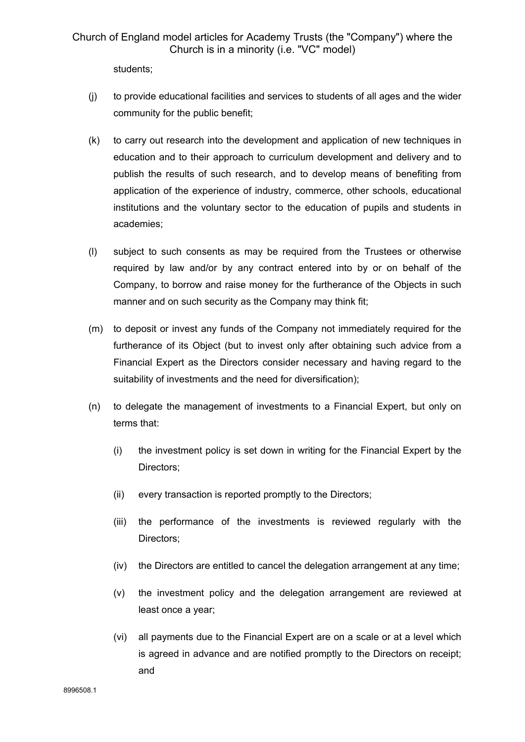students;

- (j) to provide educational facilities and services to students of all ages and the wider community for the public benefit;
- (k) to carry out research into the development and application of new techniques in education and to their approach to curriculum development and delivery and to publish the results of such research, and to develop means of benefiting from application of the experience of industry, commerce, other schools, educational institutions and the voluntary sector to the education of pupils and students in academies;
- (l) subject to such consents as may be required from the Trustees or otherwise required by law and/or by any contract entered into by or on behalf of the Company, to borrow and raise money for the furtherance of the Objects in such manner and on such security as the Company may think fit;
- (m) to deposit or invest any funds of the Company not immediately required for the furtherance of its Object (but to invest only after obtaining such advice from a Financial Expert as the Directors consider necessary and having regard to the suitability of investments and the need for diversification);
- (n) to delegate the management of investments to a Financial Expert, but only on terms that:
	- (i) the investment policy is set down in writing for the Financial Expert by the Directors;
	- (ii) every transaction is reported promptly to the Directors;
	- (iii) the performance of the investments is reviewed regularly with the Directors;
	- (iv) the Directors are entitled to cancel the delegation arrangement at any time;
	- (v) the investment policy and the delegation arrangement are reviewed at least once a year;
	- (vi) all payments due to the Financial Expert are on a scale or at a level which is agreed in advance and are notified promptly to the Directors on receipt; and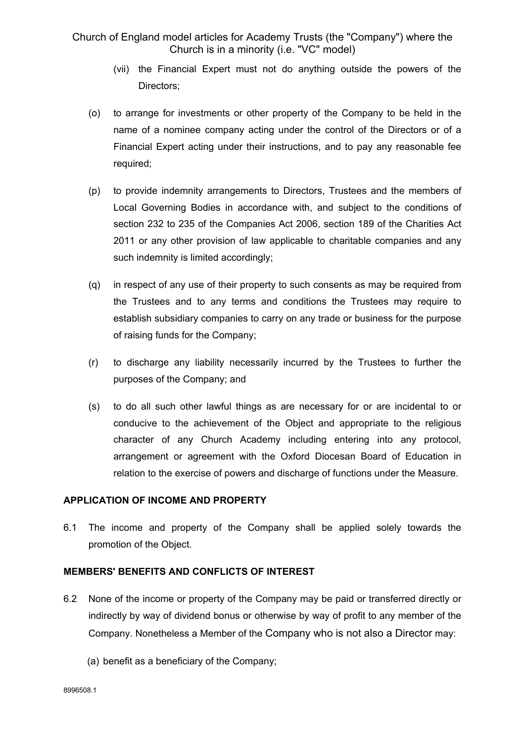- (vii) the Financial Expert must not do anything outside the powers of the Directors;
- (o) to arrange for investments or other property of the Company to be held in the name of a nominee company acting under the control of the Directors or of a Financial Expert acting under their instructions, and to pay any reasonable fee required;
- (p) to provide indemnity arrangements to Directors, Trustees and the members of Local Governing Bodies in accordance with, and subject to the conditions of section 232 to 235 of the Companies Act 2006, section 189 of the Charities Act 2011 or any other provision of law applicable to charitable companies and any such indemnity is limited accordingly;
- (q) in respect of any use of their property to such consents as may be required from the Trustees and to any terms and conditions the Trustees may require to establish subsidiary companies to carry on any trade or business for the purpose of raising funds for the Company;
- (r) to discharge any liability necessarily incurred by the Trustees to further the purposes of the Company; and
- (s) to do all such other lawful things as are necessary for or are incidental to or conducive to the achievement of the Object and appropriate to the religious character of any Church Academy including entering into any protocol, arrangement or agreement with the Oxford Diocesan Board of Education in relation to the exercise of powers and discharge of functions under the Measure.

## **APPLICATION OF INCOME AND PROPERTY**

6.1 The income and property of the Company shall be applied solely towards the promotion of the Object.

## **MEMBERS' BENEFITS AND CONFLICTS OF INTEREST**

- 6.2 None of the income or property of the Company may be paid or transferred directly or indirectly by way of dividend bonus or otherwise by way of profit to any member of the Company. Nonetheless a Member of the Company who is not also a Director may:
	- (a) benefit as a beneficiary of the Company;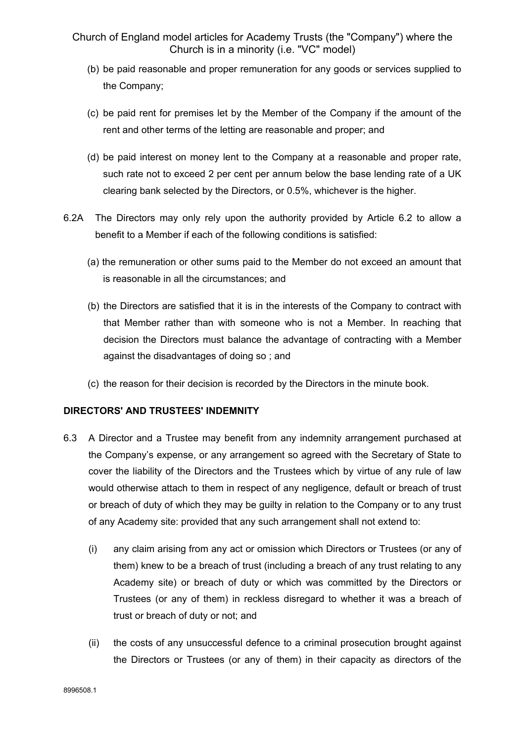- (b) be paid reasonable and proper remuneration for any goods or services supplied to the Company;
- (c) be paid rent for premises let by the Member of the Company if the amount of the rent and other terms of the letting are reasonable and proper; and
- (d) be paid interest on money lent to the Company at a reasonable and proper rate, such rate not to exceed 2 per cent per annum below the base lending rate of a UK clearing bank selected by the Directors, or 0.5%, whichever is the higher.
- 6.2A The Directors may only rely upon the authority provided by Article 6.2 to allow a benefit to a Member if each of the following conditions is satisfied:
	- (a) the remuneration or other sums paid to the Member do not exceed an amount that is reasonable in all the circumstances; and
	- (b) the Directors are satisfied that it is in the interests of the Company to contract with that Member rather than with someone who is not a Member. In reaching that decision the Directors must balance the advantage of contracting with a Member against the disadvantages of doing so ; and
	- (c) the reason for their decision is recorded by the Directors in the minute book.

#### **DIRECTORS' AND TRUSTEES' INDEMNITY**

- 6.3 A Director and a Trustee may benefit from any indemnity arrangement purchased at the Company's expense, or any arrangement so agreed with the Secretary of State to cover the liability of the Directors and the Trustees which by virtue of any rule of law would otherwise attach to them in respect of any negligence, default or breach of trust or breach of duty of which they may be guilty in relation to the Company or to any trust of any Academy site: provided that any such arrangement shall not extend to:
	- (i) any claim arising from any act or omission which Directors or Trustees (or any of them) knew to be a breach of trust (including a breach of any trust relating to any Academy site) or breach of duty or which was committed by the Directors or Trustees (or any of them) in reckless disregard to whether it was a breach of trust or breach of duty or not; and
	- (ii) the costs of any unsuccessful defence to a criminal prosecution brought against the Directors or Trustees (or any of them) in their capacity as directors of the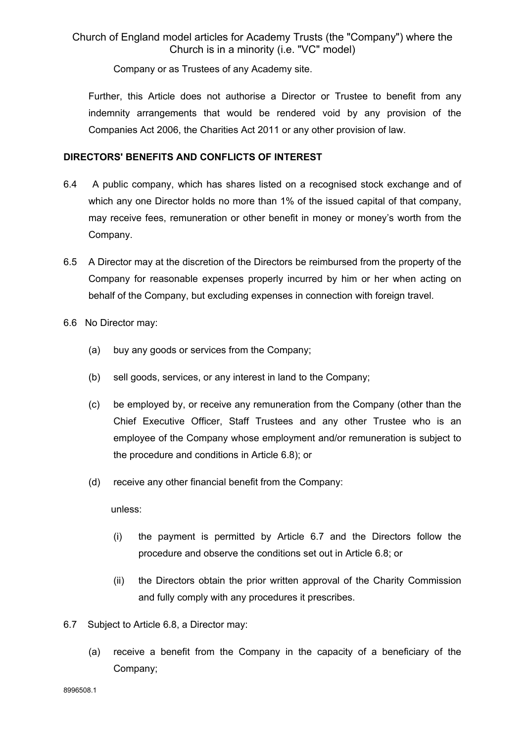Company or as Trustees of any Academy site.

Further, this Article does not authorise a Director or Trustee to benefit from any indemnity arrangements that would be rendered void by any provision of the Companies Act 2006, the Charities Act 2011 or any other provision of law.

## **DIRECTORS' BENEFITS AND CONFLICTS OF INTEREST**

- 6.4 A public company, which has shares listed on a recognised stock exchange and of which any one Director holds no more than 1% of the issued capital of that company, may receive fees, remuneration or other benefit in money or money's worth from the Company.
- 6.5 A Director may at the discretion of the Directors be reimbursed from the property of the Company for reasonable expenses properly incurred by him or her when acting on behalf of the Company, but excluding expenses in connection with foreign travel.
- 6.6 No Director may:
	- (a) buy any goods or services from the Company;
	- (b) sell goods, services, or any interest in land to the Company;
	- (c) be employed by, or receive any remuneration from the Company (other than the Chief Executive Officer, Staff Trustees and any other Trustee who is an employee of the Company whose employment and/or remuneration is subject to the procedure and conditions in Article 6.8); or
	- (d) receive any other financial benefit from the Company:

unless:

- (i) the payment is permitted by Article 6.7 and the Directors follow the procedure and observe the conditions set out in Article 6.8; or
- (ii) the Directors obtain the prior written approval of the Charity Commission and fully comply with any procedures it prescribes.
- 6.7 Subject to Article 6.8, a Director may:
	- (a) receive a benefit from the Company in the capacity of a beneficiary of the Company;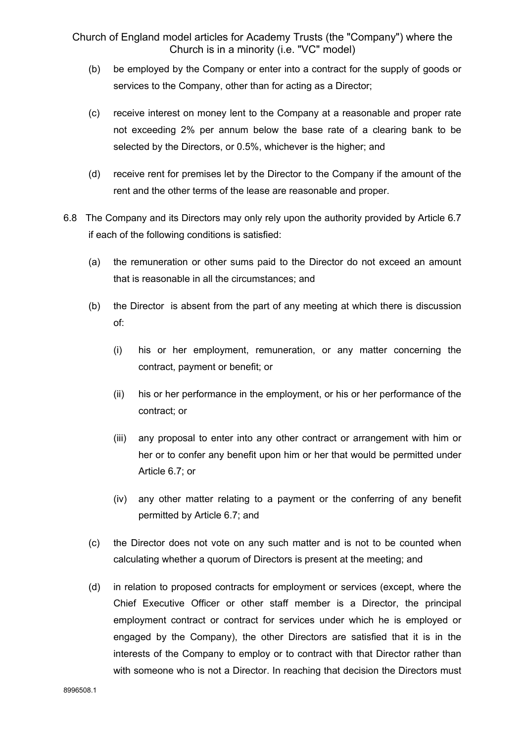- (b) be employed by the Company or enter into a contract for the supply of goods or services to the Company, other than for acting as a Director;
- (c) receive interest on money lent to the Company at a reasonable and proper rate not exceeding 2% per annum below the base rate of a clearing bank to be selected by the Directors, or 0.5%, whichever is the higher; and
- (d) receive rent for premises let by the Director to the Company if the amount of the rent and the other terms of the lease are reasonable and proper.
- 6.8 The Company and its Directors may only rely upon the authority provided by Article 6.7 if each of the following conditions is satisfied:
	- (a) the remuneration or other sums paid to the Director do not exceed an amount that is reasonable in all the circumstances; and
	- (b) the Director is absent from the part of any meeting at which there is discussion of:
		- (i) his or her employment, remuneration, or any matter concerning the contract, payment or benefit; or
		- (ii) his or her performance in the employment, or his or her performance of the contract; or
		- (iii) any proposal to enter into any other contract or arrangement with him or her or to confer any benefit upon him or her that would be permitted under Article 6.7; or
		- (iv) any other matter relating to a payment or the conferring of any benefit permitted by Article 6.7; and
	- (c) the Director does not vote on any such matter and is not to be counted when calculating whether a quorum of Directors is present at the meeting; and
	- (d) in relation to proposed contracts for employment or services (except, where the Chief Executive Officer or other staff member is a Director, the principal employment contract or contract for services under which he is employed or engaged by the Company), the other Directors are satisfied that it is in the interests of the Company to employ or to contract with that Director rather than with someone who is not a Director. In reaching that decision the Directors must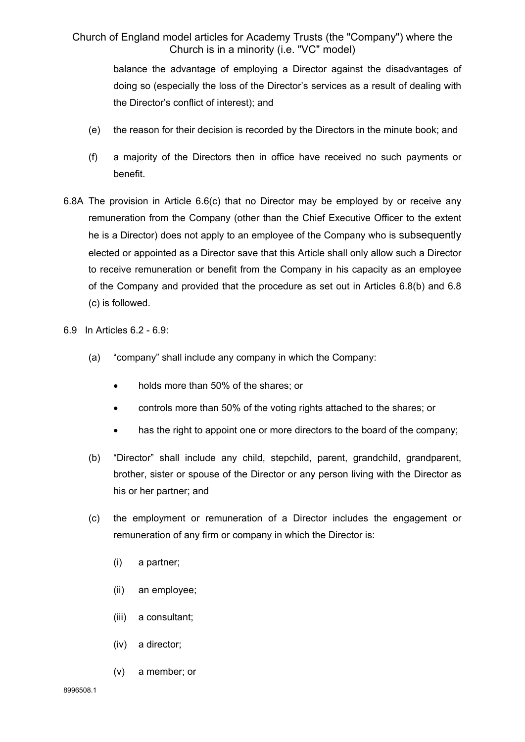> balance the advantage of employing a Director against the disadvantages of doing so (especially the loss of the Director's services as a result of dealing with the Director's conflict of interest); and

- (e) the reason for their decision is recorded by the Directors in the minute book; and
- (f) a majority of the Directors then in office have received no such payments or benefit.
- 6.8A The provision in Article 6.6(c) that no Director may be employed by or receive any remuneration from the Company (other than the Chief Executive Officer to the extent he is a Director) does not apply to an employee of the Company who is subsequently elected or appointed as a Director save that this Article shall only allow such a Director to receive remuneration or benefit from the Company in his capacity as an employee of the Company and provided that the procedure as set out in Articles 6.8(b) and 6.8 (c) is followed.
- 6.9 In Articles 6.2 6.9:
	- (a) "company" shall include any company in which the Company:
		- holds more than 50% of the shares; or
		- controls more than 50% of the voting rights attached to the shares; or
		- has the right to appoint one or more directors to the board of the company;
	- (b) "Director" shall include any child, stepchild, parent, grandchild, grandparent, brother, sister or spouse of the Director or any person living with the Director as his or her partner; and
	- (c) the employment or remuneration of a Director includes the engagement or remuneration of any firm or company in which the Director is:
		- (i) a partner;
		- (ii) an employee;
		- (iii) a consultant;
		- (iv) a director;
		- (v) a member; or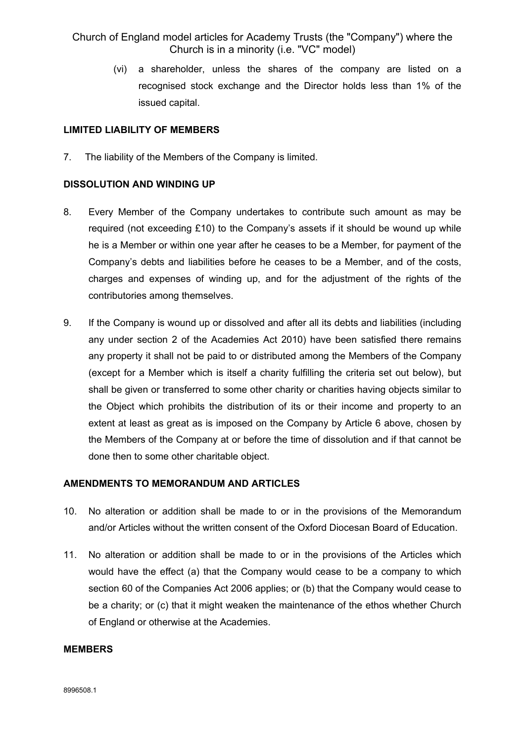(vi) a shareholder, unless the shares of the company are listed on a recognised stock exchange and the Director holds less than 1% of the issued capital.

#### **LIMITED LIABILITY OF MEMBERS**

7. The liability of the Members of the Company is limited.

## **DISSOLUTION AND WINDING UP**

- 8. Every Member of the Company undertakes to contribute such amount as may be required (not exceeding £10) to the Company's assets if it should be wound up while he is a Member or within one year after he ceases to be a Member, for payment of the Company's debts and liabilities before he ceases to be a Member, and of the costs, charges and expenses of winding up, and for the adjustment of the rights of the contributories among themselves.
- 9. If the Company is wound up or dissolved and after all its debts and liabilities (including any under section 2 of the Academies Act 2010) have been satisfied there remains any property it shall not be paid to or distributed among the Members of the Company (except for a Member which is itself a charity fulfilling the criteria set out below), but shall be given or transferred to some other charity or charities having objects similar to the Object which prohibits the distribution of its or their income and property to an extent at least as great as is imposed on the Company by Article 6 above, chosen by the Members of the Company at or before the time of dissolution and if that cannot be done then to some other charitable object.

## **AMENDMENTS TO MEMORANDUM AND ARTICLES**

- 10. No alteration or addition shall be made to or in the provisions of the Memorandum and/or Articles without the written consent of the Oxford Diocesan Board of Education.
- 11. No alteration or addition shall be made to or in the provisions of the Articles which would have the effect (a) that the Company would cease to be a company to which section 60 of the Companies Act 2006 applies; or (b) that the Company would cease to be a charity; or (c) that it might weaken the maintenance of the ethos whether Church of England or otherwise at the Academies.

#### **MEMBERS**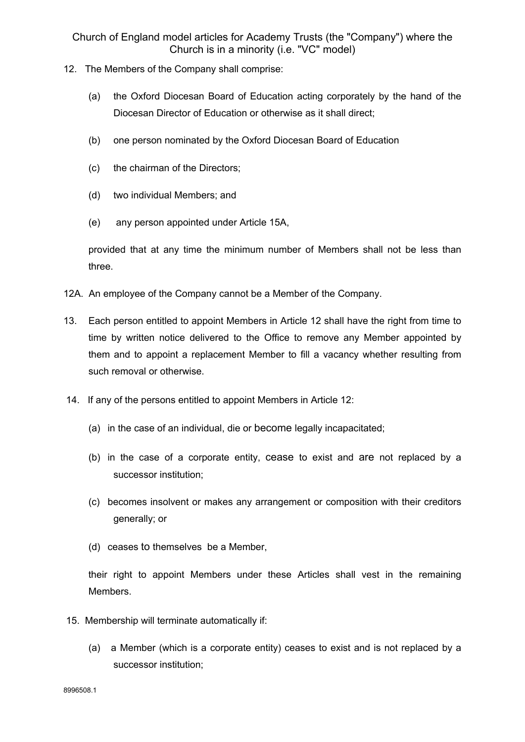- 12. The Members of the Company shall comprise:
	- (a) the Oxford Diocesan Board of Education acting corporately by the hand of the Diocesan Director of Education or otherwise as it shall direct;
	- (b) one person nominated by the Oxford Diocesan Board of Education
	- (c) the chairman of the Directors;
	- (d) two individual Members; and
	- (e) any person appointed under Article 15A,

provided that at any time the minimum number of Members shall not be less than three.

- 12A. An employee of the Company cannot be a Member of the Company.
- 13. Each person entitled to appoint Members in Article 12 shall have the right from time to time by written notice delivered to the Office to remove any Member appointed by them and to appoint a replacement Member to fill a vacancy whether resulting from such removal or otherwise.
- 14. If any of the persons entitled to appoint Members in Article 12:
	- (a) in the case of an individual, die or become legally incapacitated;
	- (b) in the case of a corporate entity, cease to exist and are not replaced by a successor institution;
	- (c) becomes insolvent or makes any arrangement or composition with their creditors generally; or
	- (d) ceases to themselves be a Member,

their right to appoint Members under these Articles shall vest in the remaining Members.

- 15. Membership will terminate automatically if:
	- (a) a Member (which is a corporate entity) ceases to exist and is not replaced by a successor institution;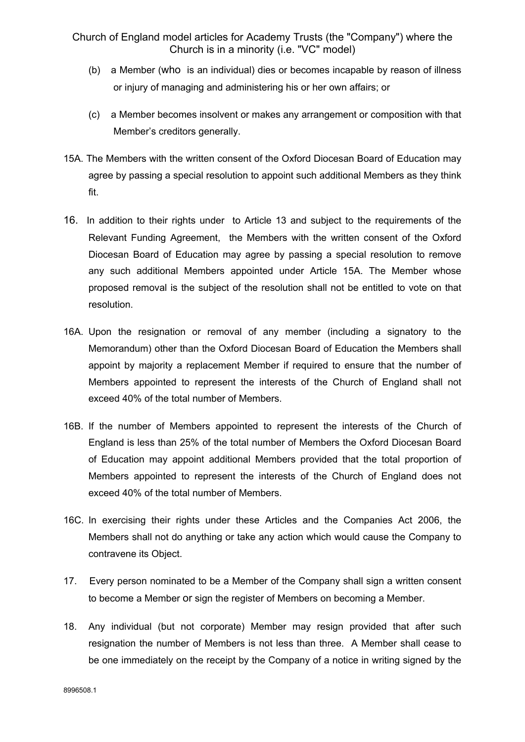- (b) a Member (who is an individual) dies or becomes incapable by reason of illness or injury of managing and administering his or her own affairs; or
- (c) a Member becomes insolvent or makes any arrangement or composition with that Member's creditors generally.
- 15A. The Members with the written consent of the Oxford Diocesan Board of Education may agree by passing a special resolution to appoint such additional Members as they think fit.
- 16. In addition to their rights under to Article 13 and subject to the requirements of the Relevant Funding Agreement, the Members with the written consent of the Oxford Diocesan Board of Education may agree by passing a special resolution to remove any such additional Members appointed under Article 15A. The Member whose proposed removal is the subject of the resolution shall not be entitled to vote on that resolution.
- 16A. Upon the resignation or removal of any member (including a signatory to the Memorandum) other than the Oxford Diocesan Board of Education the Members shall appoint by majority a replacement Member if required to ensure that the number of Members appointed to represent the interests of the Church of England shall not exceed 40% of the total number of Members.
- 16B. If the number of Members appointed to represent the interests of the Church of England is less than 25% of the total number of Members the Oxford Diocesan Board of Education may appoint additional Members provided that the total proportion of Members appointed to represent the interests of the Church of England does not exceed 40% of the total number of Members.
- 16C. In exercising their rights under these Articles and the Companies Act 2006, the Members shall not do anything or take any action which would cause the Company to contravene its Object.
- 17. Every person nominated to be a Member of the Company shall sign a written consent to become a Member or sign the register of Members on becoming a Member.
- 18. Any individual (but not corporate) Member may resign provided that after such resignation the number of Members is not less than three. A Member shall cease to be one immediately on the receipt by the Company of a notice in writing signed by the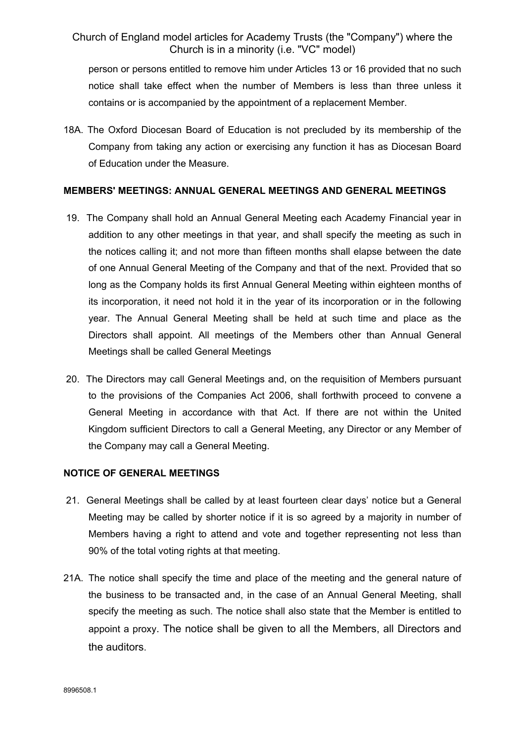person or persons entitled to remove him under Articles 13 or 16 provided that no such notice shall take effect when the number of Members is less than three unless it contains or is accompanied by the appointment of a replacement Member.

18A. The Oxford Diocesan Board of Education is not precluded by its membership of the Company from taking any action or exercising any function it has as Diocesan Board of Education under the Measure.

#### **MEMBERS' MEETINGS: ANNUAL GENERAL MEETINGS AND GENERAL MEETINGS**

- 19. The Company shall hold an Annual General Meeting each Academy Financial year in addition to any other meetings in that year, and shall specify the meeting as such in the notices calling it; and not more than fifteen months shall elapse between the date of one Annual General Meeting of the Company and that of the next. Provided that so long as the Company holds its first Annual General Meeting within eighteen months of its incorporation, it need not hold it in the year of its incorporation or in the following year. The Annual General Meeting shall be held at such time and place as the Directors shall appoint. All meetings of the Members other than Annual General Meetings shall be called General Meetings
- 20. The Directors may call General Meetings and, on the requisition of Members pursuant to the provisions of the Companies Act 2006, shall forthwith proceed to convene a General Meeting in accordance with that Act. If there are not within the United Kingdom sufficient Directors to call a General Meeting, any Director or any Member of the Company may call a General Meeting.

## **NOTICE OF GENERAL MEETINGS**

- 21. General Meetings shall be called by at least fourteen clear days' notice but a General Meeting may be called by shorter notice if it is so agreed by a majority in number of Members having a right to attend and vote and together representing not less than 90% of the total voting rights at that meeting.
- 21A. The notice shall specify the time and place of the meeting and the general nature of the business to be transacted and, in the case of an Annual General Meeting, shall specify the meeting as such. The notice shall also state that the Member is entitled to appoint a proxy. The notice shall be given to all the Members, all Directors and the auditors.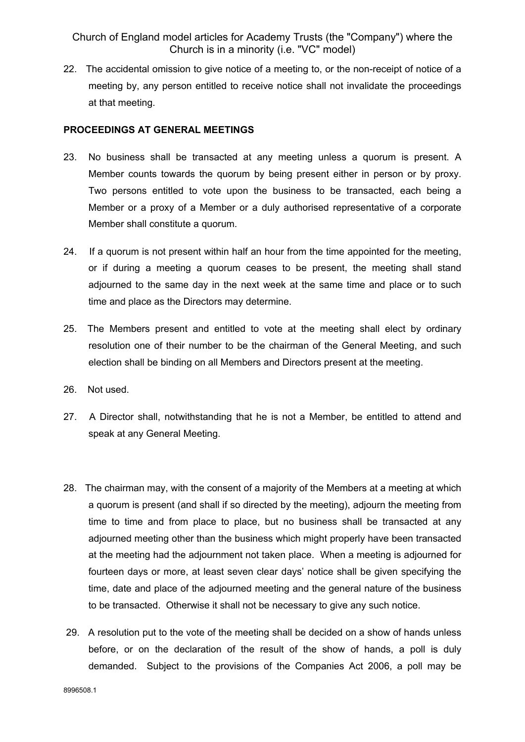22. The accidental omission to give notice of a meeting to, or the non-receipt of notice of a meeting by, any person entitled to receive notice shall not invalidate the proceedings at that meeting.

#### **PROCEEDINGS AT GENERAL MEETINGS**

- 23. No business shall be transacted at any meeting unless a quorum is present. A Member counts towards the quorum by being present either in person or by proxy. Two persons entitled to vote upon the business to be transacted, each being a Member or a proxy of a Member or a duly authorised representative of a corporate Member shall constitute a quorum.
- 24. If a quorum is not present within half an hour from the time appointed for the meeting, or if during a meeting a quorum ceases to be present, the meeting shall stand adjourned to the same day in the next week at the same time and place or to such time and place as the Directors may determine.
- 25. The Members present and entitled to vote at the meeting shall elect by ordinary resolution one of their number to be the chairman of the General Meeting, and such election shall be binding on all Members and Directors present at the meeting.
- 26. Not used.
- 27. A Director shall, notwithstanding that he is not a Member, be entitled to attend and speak at any General Meeting.
- 28. The chairman may, with the consent of a majority of the Members at a meeting at which a quorum is present (and shall if so directed by the meeting), adjourn the meeting from time to time and from place to place, but no business shall be transacted at any adjourned meeting other than the business which might properly have been transacted at the meeting had the adjournment not taken place. When a meeting is adjourned for fourteen days or more, at least seven clear days' notice shall be given specifying the time, date and place of the adjourned meeting and the general nature of the business to be transacted. Otherwise it shall not be necessary to give any such notice.
- 29. A resolution put to the vote of the meeting shall be decided on a show of hands unless before, or on the declaration of the result of the show of hands, a poll is duly demanded. Subject to the provisions of the Companies Act 2006, a poll may be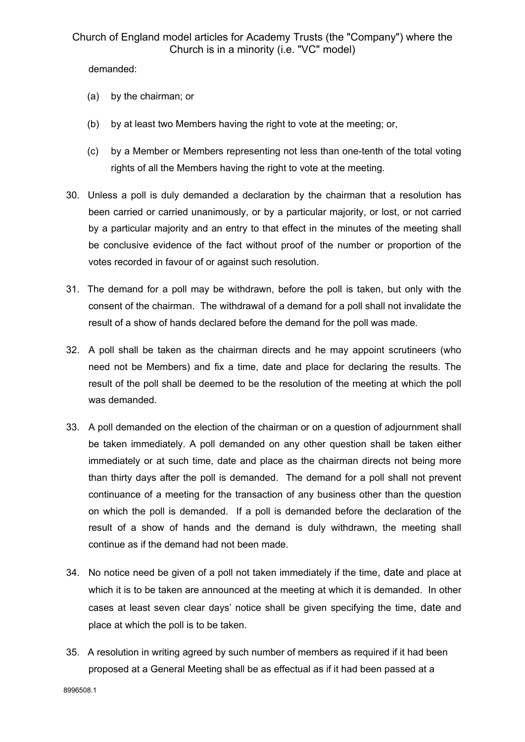demanded:

- (a) by the chairman; or
- (b) by at least two Members having the right to vote at the meeting; or,
- (c) by a Member or Members representing not less than one-tenth of the total voting rights of all the Members having the right to vote at the meeting.
- 30. Unless a poll is duly demanded a declaration by the chairman that a resolution has been carried or carried unanimously, or by a particular majority, or lost, or not carried by a particular majority and an entry to that effect in the minutes of the meeting shall be conclusive evidence of the fact without proof of the number or proportion of the votes recorded in favour of or against such resolution.
- 31. The demand for a poll may be withdrawn, before the poll is taken, but only with the consent of the chairman. The withdrawal of a demand for a poll shall not invalidate the result of a show of hands declared before the demand for the poll was made.
- 32. A poll shall be taken as the chairman directs and he may appoint scrutineers (who need not be Members) and fix a time, date and place for declaring the results. The result of the poll shall be deemed to be the resolution of the meeting at which the poll was demanded.
- 33. A poll demanded on the election of the chairman or on a question of adjournment shall be taken immediately. A poll demanded on any other question shall be taken either immediately or at such time, date and place as the chairman directs not being more than thirty days after the poll is demanded. The demand for a poll shall not prevent continuance of a meeting for the transaction of any business other than the question on which the poll is demanded. If a poll is demanded before the declaration of the result of a show of hands and the demand is duly withdrawn, the meeting shall continue as if the demand had not been made.
- 34. No notice need be given of a poll not taken immediately if the time, date and place at which it is to be taken are announced at the meeting at which it is demanded. In other cases at least seven clear days' notice shall be given specifying the time, date and place at which the poll is to be taken.
- 35. A resolution in writing agreed by such number of members as required if it had been proposed at a General Meeting shall be as effectual as if it had been passed at a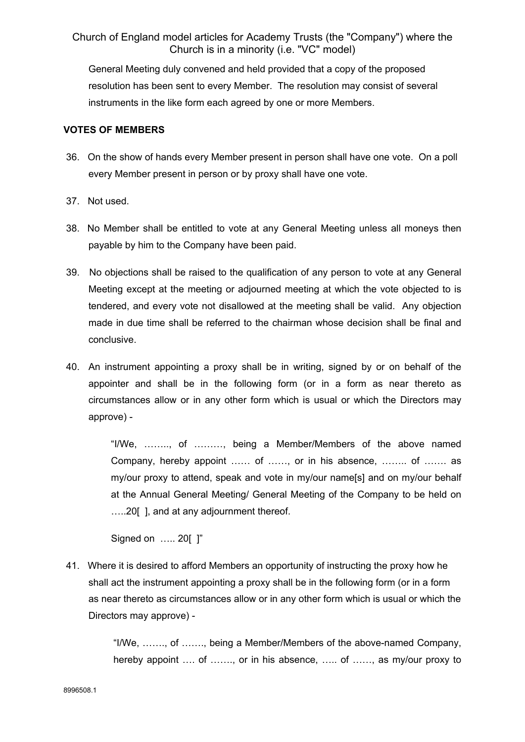General Meeting duly convened and held provided that a copy of the proposed resolution has been sent to every Member. The resolution may consist of several instruments in the like form each agreed by one or more Members.

### **VOTES OF MEMBERS**

- 36. On the show of hands every Member present in person shall have one vote. On a poll every Member present in person or by proxy shall have one vote.
- 37. Not used.
- 38. No Member shall be entitled to vote at any General Meeting unless all moneys then payable by him to the Company have been paid.
- 39. No objections shall be raised to the qualification of any person to vote at any General Meeting except at the meeting or adjourned meeting at which the vote objected to is tendered, and every vote not disallowed at the meeting shall be valid. Any objection made in due time shall be referred to the chairman whose decision shall be final and conclusive.
- 40. An instrument appointing a proxy shall be in writing, signed by or on behalf of the appointer and shall be in the following form (or in a form as near thereto as circumstances allow or in any other form which is usual or which the Directors may approve) -

"I/We, …….., of ………, being a Member/Members of the above named Company, hereby appoint …… of ……, or in his absence, …….. of ……. as my/our proxy to attend, speak and vote in my/our name[s] and on my/our behalf at the Annual General Meeting/ General Meeting of the Company to be held on …..20[ ], and at any adjournment thereof.

Signed on ….. 20[ ]"

 41. Where it is desired to afford Members an opportunity of instructing the proxy how he shall act the instrument appointing a proxy shall be in the following form (or in a form as near thereto as circumstances allow or in any other form which is usual or which the Directors may approve) -

> "I/We, ……., of ……., being a Member/Members of the above-named Company, hereby appoint .... of ......., or in his absence, ..... of ......, as my/our proxy to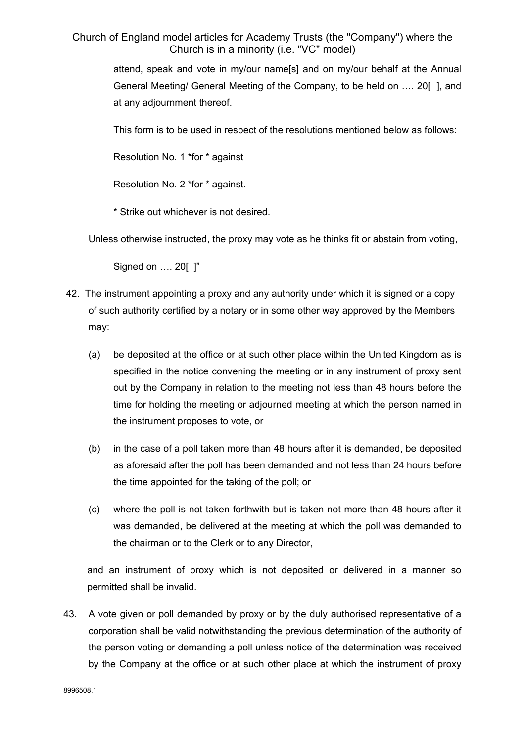> attend, speak and vote in my/our name[s] and on my/our behalf at the Annual General Meeting/ General Meeting of the Company, to be held on …. 20[ ], and at any adjournment thereof.

This form is to be used in respect of the resolutions mentioned below as follows:

Resolution No. 1 \*for \* against

Resolution No. 2 \*for \* against.

\* Strike out whichever is not desired.

Unless otherwise instructed, the proxy may vote as he thinks fit or abstain from voting,

Signed on .... 20[ ]"

- 42. The instrument appointing a proxy and any authority under which it is signed or a copy of such authority certified by a notary or in some other way approved by the Members may:
	- (a) be deposited at the office or at such other place within the United Kingdom as is specified in the notice convening the meeting or in any instrument of proxy sent out by the Company in relation to the meeting not less than 48 hours before the time for holding the meeting or adjourned meeting at which the person named in the instrument proposes to vote, or
	- (b) in the case of a poll taken more than 48 hours after it is demanded, be deposited as aforesaid after the poll has been demanded and not less than 24 hours before the time appointed for the taking of the poll; or
	- (c) where the poll is not taken forthwith but is taken not more than 48 hours after it was demanded, be delivered at the meeting at which the poll was demanded to the chairman or to the Clerk or to any Director,

and an instrument of proxy which is not deposited or delivered in a manner so permitted shall be invalid.

43. A vote given or poll demanded by proxy or by the duly authorised representative of a corporation shall be valid notwithstanding the previous determination of the authority of the person voting or demanding a poll unless notice of the determination was received by the Company at the office or at such other place at which the instrument of proxy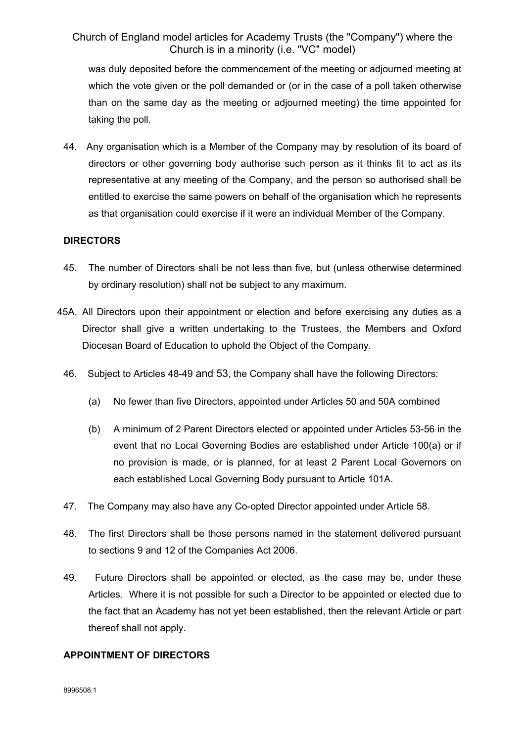was duly deposited before the commencement of the meeting or adjourned meeting at which the vote given or the poll demanded or (or in the case of a poll taken otherwise than on the same day as the meeting or adjourned meeting) the time appointed for taking the poll.

44. Any organisation which is a Member of the Company may by resolution of its board of directors or other governing body authorise such person as it thinks fit to act as its representative at any meeting of the Company, and the person so authorised shall be entitled to exercise the same powers on behalf of the organisation which he represents as that organisation could exercise if it were an individual Member of the Company.

## **DIRECTORS**

- 45. The number of Directors shall be not less than five, but (unless otherwise determined by ordinary resolution) shall not be subject to any maximum.
- 45A. All Directors upon their appointment or election and before exercising any duties as a Director shall give a written undertaking to the Trustees, the Members and Oxford Diocesan Board of Education to uphold the Object of the Company.
	- 46. Subject to Articles 48-49 and 53, the Company shall have the following Directors:
		- (a) No fewer than five Directors, appointed under Articles 50 and 50A combined
		- (b) A minimum of 2 Parent Directors elected or appointed under Articles 53-56 in the event that no Local Governing Bodies are established under Article 100(a) or if no provision is made, or is planned, for at least 2 Parent Local Governors on each established Local Governing Body pursuant to Article 101A.
	- 47. The Company may also have any Co-opted Director appointed under Article 58.
	- 48. The first Directors shall be those persons named in the statement delivered pursuant to sections 9 and 12 of the Companies Act 2006.
	- 49. Future Directors shall be appointed or elected, as the case may be, under these Articles. Where it is not possible for such a Director to be appointed or elected due to the fact that an Academy has not yet been established, then the relevant Article or part thereof shall not apply.

## **APPOINTMENT OF DIRECTORS**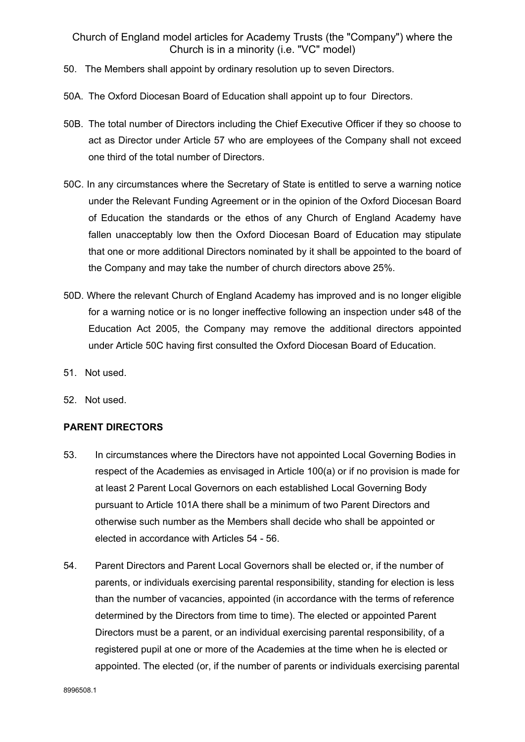- 50. The Members shall appoint by ordinary resolution up to seven Directors.
- 50A. The Oxford Diocesan Board of Education shall appoint up to four Directors.
- 50B. The total number of Directors including the Chief Executive Officer if they so choose to act as Director under Article 57 who are employees of the Company shall not exceed one third of the total number of Directors.
- 50C. In any circumstances where the Secretary of State is entitled to serve a warning notice under the Relevant Funding Agreement or in the opinion of the Oxford Diocesan Board of Education the standards or the ethos of any Church of England Academy have fallen unacceptably low then the Oxford Diocesan Board of Education may stipulate that one or more additional Directors nominated by it shall be appointed to the board of the Company and may take the number of church directors above 25%.
- 50D. Where the relevant Church of England Academy has improved and is no longer eligible for a warning notice or is no longer ineffective following an inspection under s48 of the Education Act 2005, the Company may remove the additional directors appointed under Article 50C having first consulted the Oxford Diocesan Board of Education.
- 51. Not used.
- 52. Not used.

#### **PARENT DIRECTORS**

- 53. In circumstances where the Directors have not appointed Local Governing Bodies in respect of the Academies as envisaged in Article 100(a) or if no provision is made for at least 2 Parent Local Governors on each established Local Governing Body pursuant to Article 101A there shall be a minimum of two Parent Directors and otherwise such number as the Members shall decide who shall be appointed or elected in accordance with Articles 54 - 56.
- 54. Parent Directors and Parent Local Governors shall be elected or, if the number of parents, or individuals exercising parental responsibility, standing for election is less than the number of vacancies, appointed (in accordance with the terms of reference determined by the Directors from time to time). The elected or appointed Parent Directors must be a parent, or an individual exercising parental responsibility, of a registered pupil at one or more of the Academies at the time when he is elected or appointed. The elected (or, if the number of parents or individuals exercising parental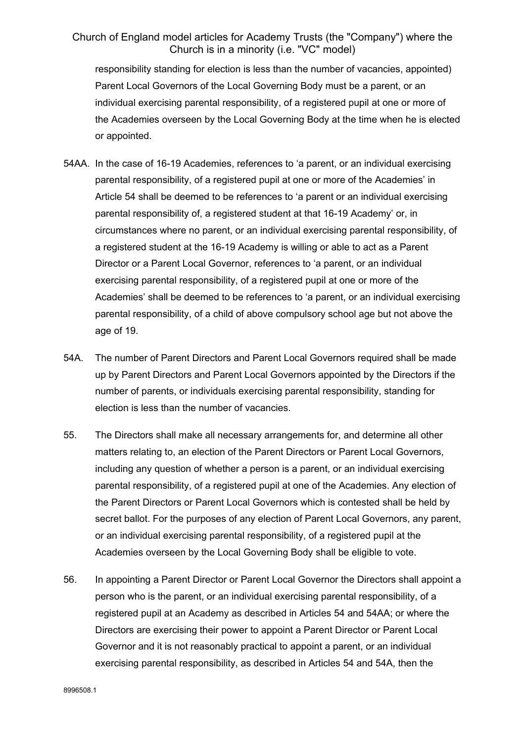responsibility standing for election is less than the number of vacancies, appointed) Parent Local Governors of the Local Governing Body must be a parent, or an individual exercising parental responsibility, of a registered pupil at one or more of the Academies overseen by the Local Governing Body at the time when he is elected or appointed.

- 54AA. In the case of 16-19 Academies, references to 'a parent, or an individual exercising parental responsibility, of a registered pupil at one or more of the Academies' in Article 54 shall be deemed to be references to 'a parent or an individual exercising parental responsibility of, a registered student at that 16-19 Academy' or, in circumstances where no parent, or an individual exercising parental responsibility, of a registered student at the 16-19 Academy is willing or able to act as a Parent Director or a Parent Local Governor, references to 'a parent, or an individual exercising parental responsibility, of a registered pupil at one or more of the Academies' shall be deemed to be references to 'a parent, or an individual exercising parental responsibility, of a child of above compulsory school age but not above the age of 19.
- 54A. The number of Parent Directors and Parent Local Governors required shall be made up by Parent Directors and Parent Local Governors appointed by the Directors if the number of parents, or individuals exercising parental responsibility, standing for election is less than the number of vacancies.
- 55. The Directors shall make all necessary arrangements for, and determine all other matters relating to, an election of the Parent Directors or Parent Local Governors, including any question of whether a person is a parent, or an individual exercising parental responsibility, of a registered pupil at one of the Academies. Any election of the Parent Directors or Parent Local Governors which is contested shall be held by secret ballot. For the purposes of any election of Parent Local Governors, any parent, or an individual exercising parental responsibility, of a registered pupil at the Academies overseen by the Local Governing Body shall be eligible to vote.
- 56. In appointing a Parent Director or Parent Local Governor the Directors shall appoint a person who is the parent, or an individual exercising parental responsibility, of a registered pupil at an Academy as described in Articles 54 and 54AA; or where the Directors are exercising their power to appoint a Parent Director or Parent Local Governor and it is not reasonably practical to appoint a parent, or an individual exercising parental responsibility, as described in Articles 54 and 54A, then the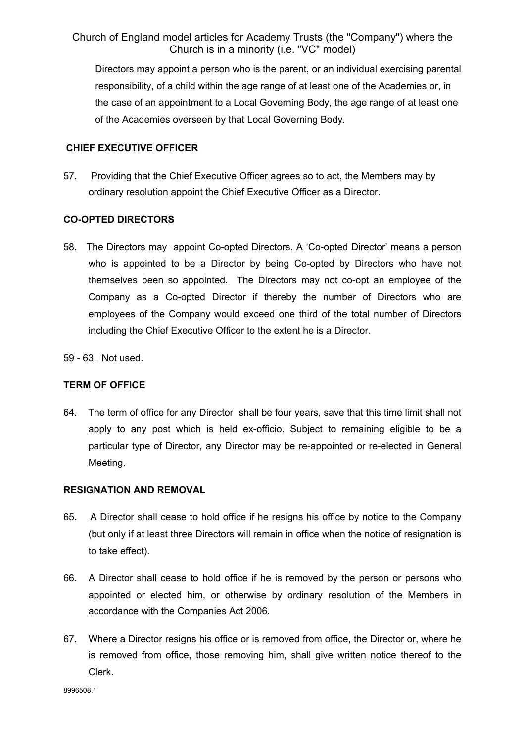Directors may appoint a person who is the parent, or an individual exercising parental responsibility, of a child within the age range of at least one of the Academies or, in the case of an appointment to a Local Governing Body, the age range of at least one of the Academies overseen by that Local Governing Body.

### **CHIEF EXECUTIVE OFFICER**

57. Providing that the Chief Executive Officer agrees so to act, the Members may by ordinary resolution appoint the Chief Executive Officer as a Director.

## **CO-OPTED DIRECTORS**

- 58. The Directors may appoint Co-opted Directors. A 'Co-opted Director' means a person who is appointed to be a Director by being Co-opted by Directors who have not themselves been so appointed. The Directors may not co-opt an employee of the Company as a Co-opted Director if thereby the number of Directors who are employees of the Company would exceed one third of the total number of Directors including the Chief Executive Officer to the extent he is a Director.
- 59 63. Not used.

## **TERM OF OFFICE**

64. The term of office for any Director shall be four years, save that this time limit shall not apply to any post which is held ex-officio. Subject to remaining eligible to be a particular type of Director, any Director may be re-appointed or re-elected in General Meeting.

## **RESIGNATION AND REMOVAL**

- 65. A Director shall cease to hold office if he resigns his office by notice to the Company (but only if at least three Directors will remain in office when the notice of resignation is to take effect).
- 66. A Director shall cease to hold office if he is removed by the person or persons who appointed or elected him, or otherwise by ordinary resolution of the Members in accordance with the Companies Act 2006.
- 67. Where a Director resigns his office or is removed from office, the Director or, where he is removed from office, those removing him, shall give written notice thereof to the Clerk.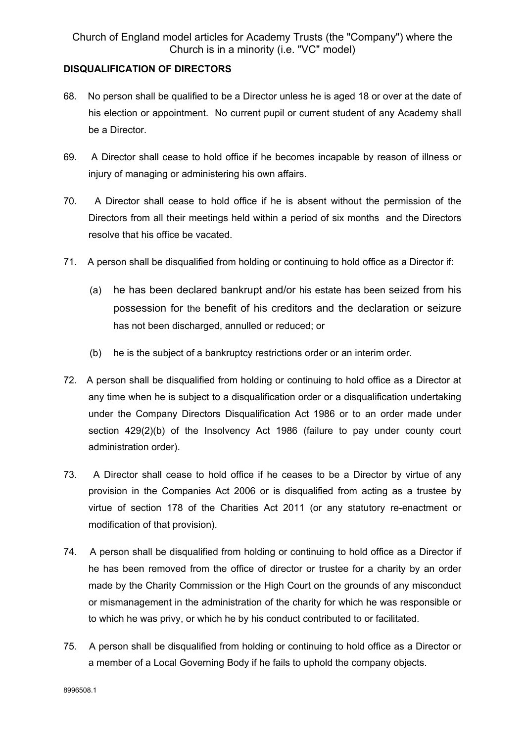## **DISQUALIFICATION OF DIRECTORS**

- 68. No person shall be qualified to be a Director unless he is aged 18 or over at the date of his election or appointment. No current pupil or current student of any Academy shall be a Director.
- 69. A Director shall cease to hold office if he becomes incapable by reason of illness or injury of managing or administering his own affairs.
- 70. A Director shall cease to hold office if he is absent without the permission of the Directors from all their meetings held within a period of six months and the Directors resolve that his office be vacated.
- 71. A person shall be disqualified from holding or continuing to hold office as a Director if:
	- (a) he has been declared bankrupt and/or his estate has been seized from his possession for the benefit of his creditors and the declaration or seizure has not been discharged, annulled or reduced; or
	- (b) he is the subject of a bankruptcy restrictions order or an interim order.
- 72. A person shall be disqualified from holding or continuing to hold office as a Director at any time when he is subject to a disqualification order or a disqualification undertaking under the Company Directors Disqualification Act 1986 or to an order made under section 429(2)(b) of the Insolvency Act 1986 (failure to pay under county court administration order).
- 73. A Director shall cease to hold office if he ceases to be a Director by virtue of any provision in the Companies Act 2006 or is disqualified from acting as a trustee by virtue of section 178 of the Charities Act 2011 (or any statutory re-enactment or modification of that provision).
- 74. A person shall be disqualified from holding or continuing to hold office as a Director if he has been removed from the office of director or trustee for a charity by an order made by the Charity Commission or the High Court on the grounds of any misconduct or mismanagement in the administration of the charity for which he was responsible or to which he was privy, or which he by his conduct contributed to or facilitated.
- 75. A person shall be disqualified from holding or continuing to hold office as a Director or a member of a Local Governing Body if he fails to uphold the company objects.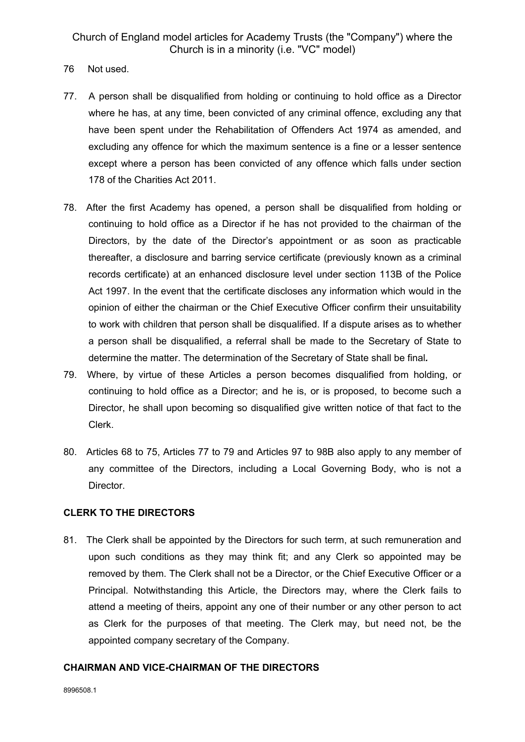- 76 Not used.
- 77. A person shall be disqualified from holding or continuing to hold office as a Director where he has, at any time, been convicted of any criminal offence, excluding any that have been spent under the Rehabilitation of Offenders Act 1974 as amended, and excluding any offence for which the maximum sentence is a fine or a lesser sentence except where a person has been convicted of any offence which falls under section 178 of the Charities Act 2011.
- 78. After the first Academy has opened, a person shall be disqualified from holding or continuing to hold office as a Director if he has not provided to the chairman of the Directors, by the date of the Director's appointment or as soon as practicable thereafter, a disclosure and barring service certificate (previously known as a criminal records certificate) at an enhanced disclosure level under section 113B of the Police Act 1997. In the event that the certificate discloses any information which would in the opinion of either the chairman or the Chief Executive Officer confirm their unsuitability to work with children that person shall be disqualified. If a dispute arises as to whether a person shall be disqualified, a referral shall be made to the Secretary of State to determine the matter. The determination of the Secretary of State shall be final*.*
- 79. Where, by virtue of these Articles a person becomes disqualified from holding, or continuing to hold office as a Director; and he is, or is proposed, to become such a Director, he shall upon becoming so disqualified give written notice of that fact to the Clerk.
- 80. Articles 68 to 75, Articles 77 to 79 and Articles 97 to 98B also apply to any member of any committee of the Directors, including a Local Governing Body, who is not a Director.

## **CLERK TO THE DIRECTORS**

81. The Clerk shall be appointed by the Directors for such term, at such remuneration and upon such conditions as they may think fit; and any Clerk so appointed may be removed by them. The Clerk shall not be a Director, or the Chief Executive Officer or a Principal. Notwithstanding this Article, the Directors may, where the Clerk fails to attend a meeting of theirs, appoint any one of their number or any other person to act as Clerk for the purposes of that meeting. The Clerk may, but need not, be the appointed company secretary of the Company.

#### **CHAIRMAN AND VICE-CHAIRMAN OF THE DIRECTORS**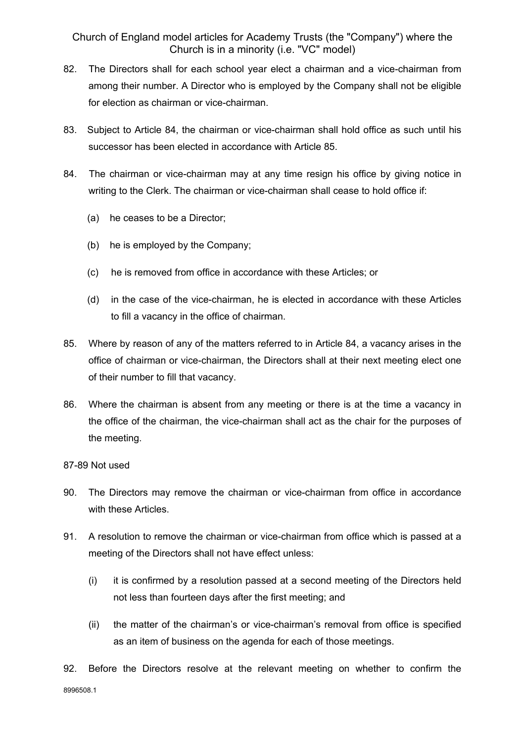- 82. The Directors shall for each school year elect a chairman and a vice-chairman from among their number. A Director who is employed by the Company shall not be eligible for election as chairman or vice-chairman.
- 83. Subject to Article 84, the chairman or vice-chairman shall hold office as such until his successor has been elected in accordance with Article 85.
- 84. The chairman or vice-chairman may at any time resign his office by giving notice in writing to the Clerk. The chairman or vice-chairman shall cease to hold office if:
	- (a) he ceases to be a Director;
	- (b) he is employed by the Company;
	- (c) he is removed from office in accordance with these Articles; or
	- (d) in the case of the vice-chairman, he is elected in accordance with these Articles to fill a vacancy in the office of chairman.
- 85. Where by reason of any of the matters referred to in Article 84, a vacancy arises in the office of chairman or vice-chairman, the Directors shall at their next meeting elect one of their number to fill that vacancy.
- 86. Where the chairman is absent from any meeting or there is at the time a vacancy in the office of the chairman, the vice-chairman shall act as the chair for the purposes of the meeting.

## 87-89 Not used

- 90. The Directors may remove the chairman or vice-chairman from office in accordance with these Articles.
- 91. A resolution to remove the chairman or vice-chairman from office which is passed at a meeting of the Directors shall not have effect unless:
	- (i) it is confirmed by a resolution passed at a second meeting of the Directors held not less than fourteen days after the first meeting; and
	- (ii) the matter of the chairman's or vice-chairman's removal from office is specified as an item of business on the agenda for each of those meetings.
- 8996508.1 92. Before the Directors resolve at the relevant meeting on whether to confirm the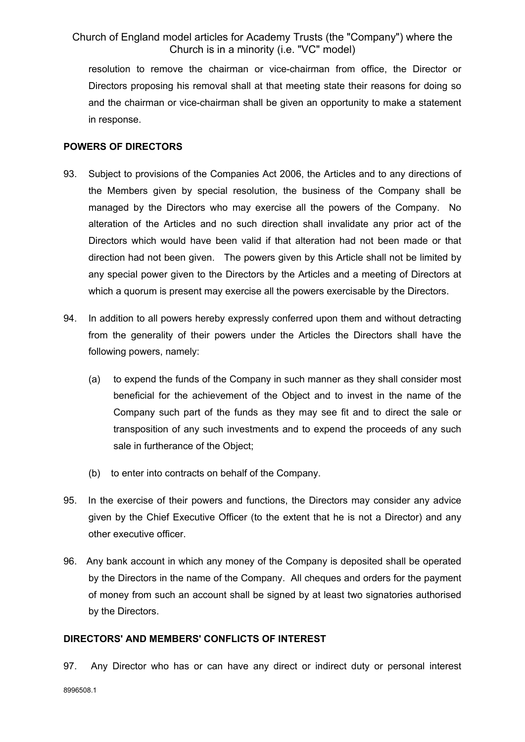resolution to remove the chairman or vice-chairman from office, the Director or Directors proposing his removal shall at that meeting state their reasons for doing so and the chairman or vice-chairman shall be given an opportunity to make a statement in response.

#### **POWERS OF DIRECTORS**

- 93. Subject to provisions of the Companies Act 2006, the Articles and to any directions of the Members given by special resolution, the business of the Company shall be managed by the Directors who may exercise all the powers of the Company. No alteration of the Articles and no such direction shall invalidate any prior act of the Directors which would have been valid if that alteration had not been made or that direction had not been given. The powers given by this Article shall not be limited by any special power given to the Directors by the Articles and a meeting of Directors at which a quorum is present may exercise all the powers exercisable by the Directors.
- 94. In addition to all powers hereby expressly conferred upon them and without detracting from the generality of their powers under the Articles the Directors shall have the following powers, namely:
	- (a) to expend the funds of the Company in such manner as they shall consider most beneficial for the achievement of the Object and to invest in the name of the Company such part of the funds as they may see fit and to direct the sale or transposition of any such investments and to expend the proceeds of any such sale in furtherance of the Object;
	- (b) to enter into contracts on behalf of the Company.
- 95. In the exercise of their powers and functions, the Directors may consider any advice given by the Chief Executive Officer (to the extent that he is not a Director) and any other executive officer.
- 96. Any bank account in which any money of the Company is deposited shall be operated by the Directors in the name of the Company. All cheques and orders for the payment of money from such an account shall be signed by at least two signatories authorised by the Directors.

#### **DIRECTORS' AND MEMBERS' CONFLICTS OF INTEREST**

97. Any Director who has or can have any direct or indirect duty or personal interest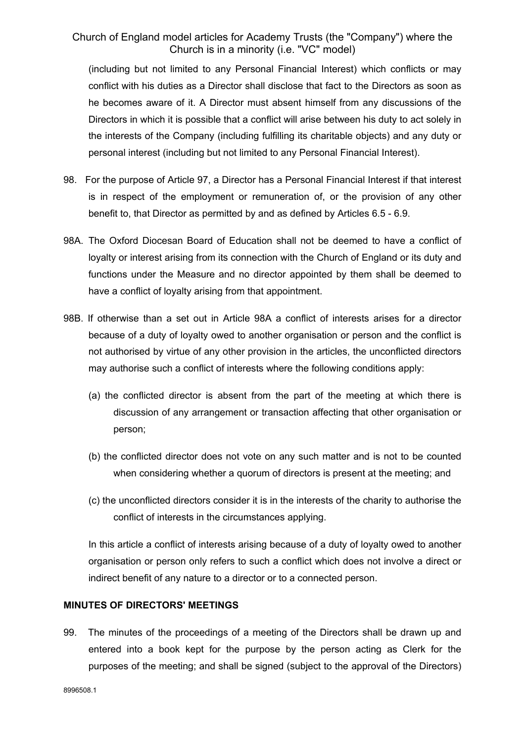(including but not limited to any Personal Financial Interest) which conflicts or may conflict with his duties as a Director shall disclose that fact to the Directors as soon as he becomes aware of it. A Director must absent himself from any discussions of the Directors in which it is possible that a conflict will arise between his duty to act solely in the interests of the Company (including fulfilling its charitable objects) and any duty or personal interest (including but not limited to any Personal Financial Interest).

- 98. For the purpose of Article 97, a Director has a Personal Financial Interest if that interest is in respect of the employment or remuneration of, or the provision of any other benefit to, that Director as permitted by and as defined by Articles 6.5 - 6.9.
- 98A. The Oxford Diocesan Board of Education shall not be deemed to have a conflict of loyalty or interest arising from its connection with the Church of England or its duty and functions under the Measure and no director appointed by them shall be deemed to have a conflict of loyalty arising from that appointment.
- 98B. If otherwise than a set out in Article 98A a conflict of interests arises for a director because of a duty of loyalty owed to another organisation or person and the conflict is not authorised by virtue of any other provision in the articles, the unconflicted directors may authorise such a conflict of interests where the following conditions apply:
	- (a) the conflicted director is absent from the part of the meeting at which there is discussion of any arrangement or transaction affecting that other organisation or person;
	- (b) the conflicted director does not vote on any such matter and is not to be counted when considering whether a quorum of directors is present at the meeting; and
	- (c) the unconflicted directors consider it is in the interests of the charity to authorise the conflict of interests in the circumstances applying.

In this article a conflict of interests arising because of a duty of loyalty owed to another organisation or person only refers to such a conflict which does not involve a direct or indirect benefit of any nature to a director or to a connected person.

## **MINUTES OF DIRECTORS' MEETINGS**

99. The minutes of the proceedings of a meeting of the Directors shall be drawn up and entered into a book kept for the purpose by the person acting as Clerk for the purposes of the meeting; and shall be signed (subject to the approval of the Directors)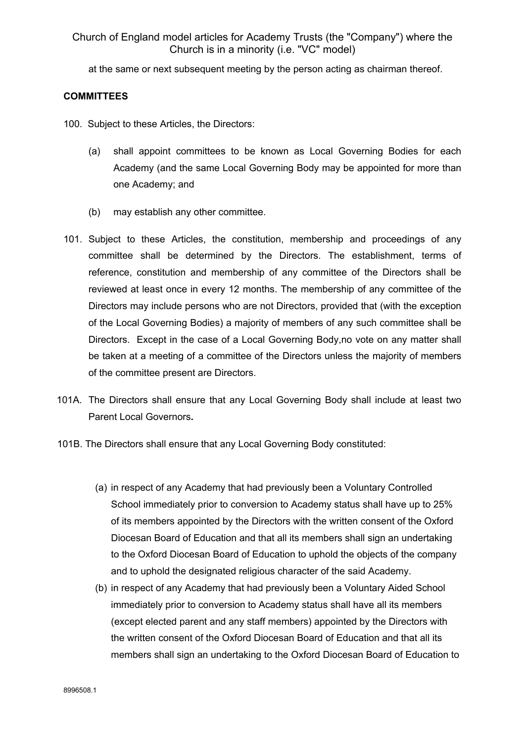at the same or next subsequent meeting by the person acting as chairman thereof.

## **COMMITTEES**

- 100. Subject to these Articles, the Directors:
	- (a) shall appoint committees to be known as Local Governing Bodies for each Academy (and the same Local Governing Body may be appointed for more than one Academy; and
	- (b) may establish any other committee.
- 101. Subject to these Articles, the constitution, membership and proceedings of any committee shall be determined by the Directors. The establishment, terms of reference, constitution and membership of any committee of the Directors shall be reviewed at least once in every 12 months. The membership of any committee of the Directors may include persons who are not Directors, provided that (with the exception of the Local Governing Bodies) a majority of members of any such committee shall be Directors. Except in the case of a Local Governing Body,no vote on any matter shall be taken at a meeting of a committee of the Directors unless the majority of members of the committee present are Directors.
- 101A. The Directors shall ensure that any Local Governing Body shall include at least two Parent Local Governors*.*
- 101B. The Directors shall ensure that any Local Governing Body constituted:
	- (a) in respect of any Academy that had previously been a Voluntary Controlled School immediately prior to conversion to Academy status shall have up to 25% of its members appointed by the Directors with the written consent of the Oxford Diocesan Board of Education and that all its members shall sign an undertaking to the Oxford Diocesan Board of Education to uphold the objects of the company and to uphold the designated religious character of the said Academy.
	- (b) in respect of any Academy that had previously been a Voluntary Aided School immediately prior to conversion to Academy status shall have all its members (except elected parent and any staff members) appointed by the Directors with the written consent of the Oxford Diocesan Board of Education and that all its members shall sign an undertaking to the Oxford Diocesan Board of Education to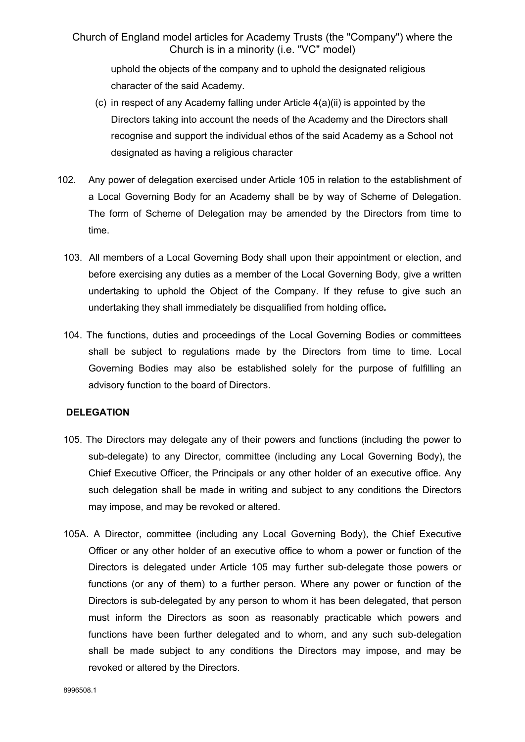uphold the objects of the company and to uphold the designated religious character of the said Academy.

- (c) in respect of any Academy falling under Article 4(a)(ii) is appointed by the Directors taking into account the needs of the Academy and the Directors shall recognise and support the individual ethos of the said Academy as a School not designated as having a religious character
- 102. Any power of delegation exercised under Article 105 in relation to the establishment of a Local Governing Body for an Academy shall be by way of Scheme of Delegation. The form of Scheme of Delegation may be amended by the Directors from time to time.
	- 103. All members of a Local Governing Body shall upon their appointment or election, and before exercising any duties as a member of the Local Governing Body, give a written undertaking to uphold the Object of the Company. If they refuse to give such an undertaking they shall immediately be disqualified from holding office*.*
	- 104. The functions, duties and proceedings of the Local Governing Bodies or committees shall be subject to regulations made by the Directors from time to time. Local Governing Bodies may also be established solely for the purpose of fulfilling an advisory function to the board of Directors.

## **DELEGATION**

- 105. The Directors may delegate any of their powers and functions (including the power to sub-delegate) to any Director, committee (including any Local Governing Body), the Chief Executive Officer, the Principals or any other holder of an executive office. Any such delegation shall be made in writing and subject to any conditions the Directors may impose, and may be revoked or altered.
- 105A. A Director, committee (including any Local Governing Body), the Chief Executive Officer or any other holder of an executive office to whom a power or function of the Directors is delegated under Article 105 may further sub-delegate those powers or functions (or any of them) to a further person. Where any power or function of the Directors is sub-delegated by any person to whom it has been delegated, that person must inform the Directors as soon as reasonably practicable which powers and functions have been further delegated and to whom, and any such sub-delegation shall be made subject to any conditions the Directors may impose, and may be revoked or altered by the Directors.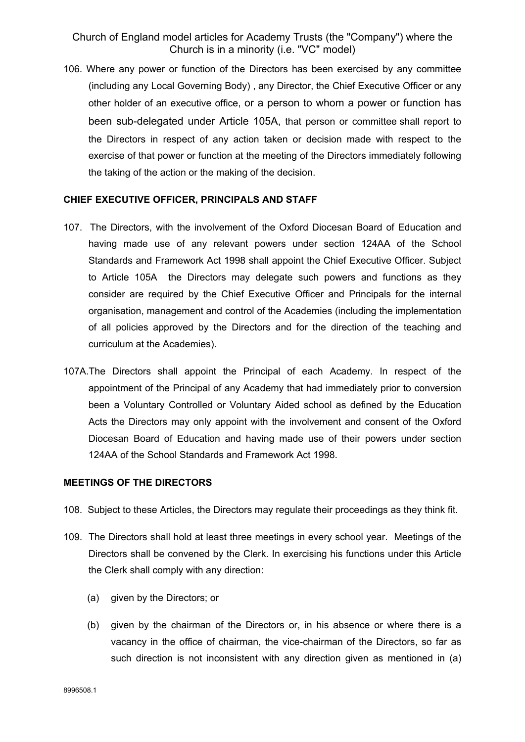106. Where any power or function of the Directors has been exercised by any committee (including any Local Governing Body) , any Director, the Chief Executive Officer or any other holder of an executive office, or a person to whom a power or function has been sub-delegated under Article 105A, that person or committee shall report to the Directors in respect of any action taken or decision made with respect to the exercise of that power or function at the meeting of the Directors immediately following the taking of the action or the making of the decision.

### **CHIEF EXECUTIVE OFFICER, PRINCIPALS AND STAFF**

- 107. The Directors, with the involvement of the Oxford Diocesan Board of Education and having made use of any relevant powers under section 124AA of the School Standards and Framework Act 1998 shall appoint the Chief Executive Officer. Subject to Article 105A the Directors may delegate such powers and functions as they consider are required by the Chief Executive Officer and Principals for the internal organisation, management and control of the Academies (including the implementation of all policies approved by the Directors and for the direction of the teaching and curriculum at the Academies).
- 107A.The Directors shall appoint the Principal of each Academy. In respect of the appointment of the Principal of any Academy that had immediately prior to conversion been a Voluntary Controlled or Voluntary Aided school as defined by the Education Acts the Directors may only appoint with the involvement and consent of the Oxford Diocesan Board of Education and having made use of their powers under section 124AA of the School Standards and Framework Act 1998.

#### **MEETINGS OF THE DIRECTORS**

- 108. Subject to these Articles, the Directors may regulate their proceedings as they think fit.
- 109. The Directors shall hold at least three meetings in every school year. Meetings of the Directors shall be convened by the Clerk. In exercising his functions under this Article the Clerk shall comply with any direction:
	- (a) given by the Directors; or
	- (b) given by the chairman of the Directors or, in his absence or where there is a vacancy in the office of chairman, the vice-chairman of the Directors, so far as such direction is not inconsistent with any direction given as mentioned in (a)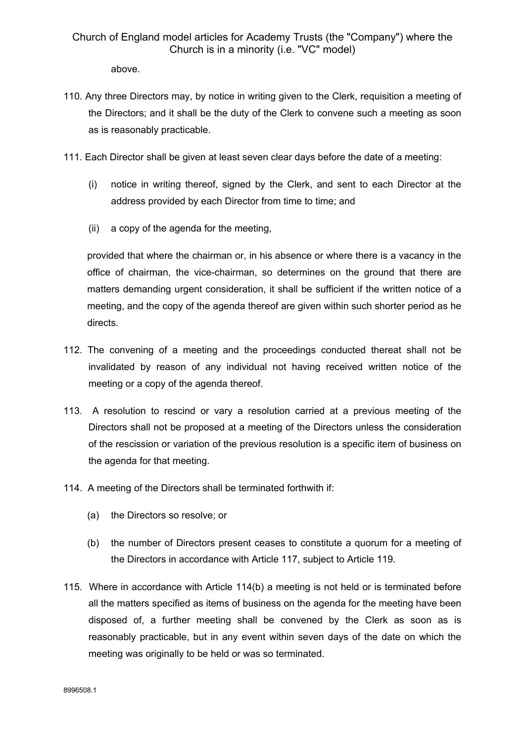above.

- 110. Any three Directors may, by notice in writing given to the Clerk, requisition a meeting of the Directors; and it shall be the duty of the Clerk to convene such a meeting as soon as is reasonably practicable.
- 111. Each Director shall be given at least seven clear days before the date of a meeting:
	- (i) notice in writing thereof, signed by the Clerk, and sent to each Director at the address provided by each Director from time to time; and
	- (ii) a copy of the agenda for the meeting,

provided that where the chairman or, in his absence or where there is a vacancy in the office of chairman, the vice-chairman, so determines on the ground that there are matters demanding urgent consideration, it shall be sufficient if the written notice of a meeting, and the copy of the agenda thereof are given within such shorter period as he directs.

- 112. The convening of a meeting and the proceedings conducted thereat shall not be invalidated by reason of any individual not having received written notice of the meeting or a copy of the agenda thereof.
- 113. A resolution to rescind or vary a resolution carried at a previous meeting of the Directors shall not be proposed at a meeting of the Directors unless the consideration of the rescission or variation of the previous resolution is a specific item of business on the agenda for that meeting.
- 114. A meeting of the Directors shall be terminated forthwith if:
	- (a) the Directors so resolve; or
	- (b) the number of Directors present ceases to constitute a quorum for a meeting of the Directors in accordance with Article 117, subject to Article 119.
- 115. Where in accordance with Article 114(b) a meeting is not held or is terminated before all the matters specified as items of business on the agenda for the meeting have been disposed of, a further meeting shall be convened by the Clerk as soon as is reasonably practicable, but in any event within seven days of the date on which the meeting was originally to be held or was so terminated.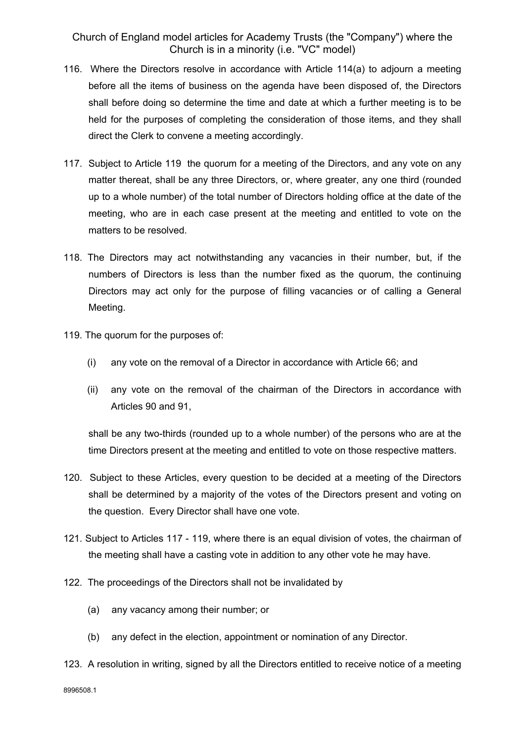- 116. Where the Directors resolve in accordance with Article 114(a) to adjourn a meeting before all the items of business on the agenda have been disposed of, the Directors shall before doing so determine the time and date at which a further meeting is to be held for the purposes of completing the consideration of those items, and they shall direct the Clerk to convene a meeting accordingly.
- 117. Subject to Article 119 the quorum for a meeting of the Directors, and any vote on any matter thereat, shall be any three Directors, or, where greater, any one third (rounded up to a whole number) of the total number of Directors holding office at the date of the meeting, who are in each case present at the meeting and entitled to vote on the matters to be resolved.
- 118. The Directors may act notwithstanding any vacancies in their number, but, if the numbers of Directors is less than the number fixed as the quorum, the continuing Directors may act only for the purpose of filling vacancies or of calling a General Meeting.
- 119. The quorum for the purposes of:
	- (i) any vote on the removal of a Director in accordance with Article 66; and
	- (ii) any vote on the removal of the chairman of the Directors in accordance with Articles 90 and 91,

shall be any two-thirds (rounded up to a whole number) of the persons who are at the time Directors present at the meeting and entitled to vote on those respective matters.

- 120. Subject to these Articles, every question to be decided at a meeting of the Directors shall be determined by a majority of the votes of the Directors present and voting on the question. Every Director shall have one vote.
- 121. Subject to Articles 117 119, where there is an equal division of votes, the chairman of the meeting shall have a casting vote in addition to any other vote he may have.
- 122. The proceedings of the Directors shall not be invalidated by
	- (a) any vacancy among their number; or
	- (b) any defect in the election, appointment or nomination of any Director.
- 123. A resolution in writing, signed by all the Directors entitled to receive notice of a meeting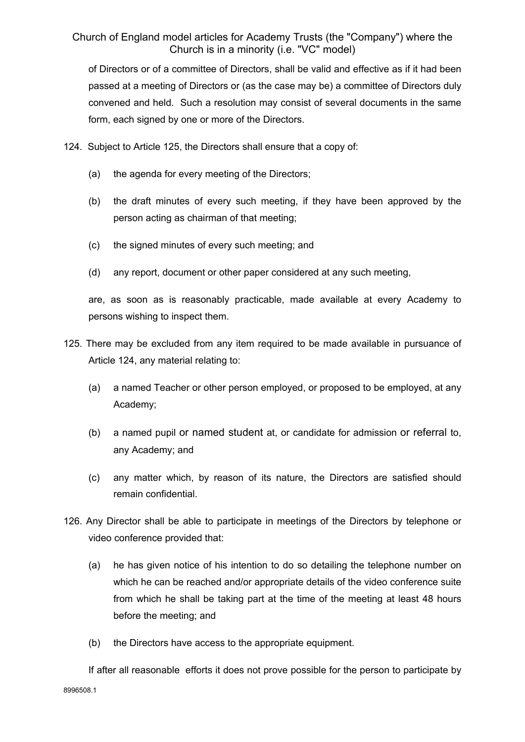of Directors or of a committee of Directors, shall be valid and effective as if it had been passed at a meeting of Directors or (as the case may be) a committee of Directors duly convened and held. Such a resolution may consist of several documents in the same form, each signed by one or more of the Directors.

- 124. Subject to Article 125, the Directors shall ensure that a copy of:
	- (a) the agenda for every meeting of the Directors;
	- (b) the draft minutes of every such meeting, if they have been approved by the person acting as chairman of that meeting;
	- (c) the signed minutes of every such meeting; and
	- (d) any report, document or other paper considered at any such meeting,

are, as soon as is reasonably practicable, made available at every Academy to persons wishing to inspect them.

- 125. There may be excluded from any item required to be made available in pursuance of Article 124, any material relating to:
	- (a) a named Teacher or other person employed, or proposed to be employed, at any Academy;
	- (b) a named pupil or named student at, or candidate for admission or referral to, any Academy; and
	- (c) any matter which, by reason of its nature, the Directors are satisfied should remain confidential.
- 126. Any Director shall be able to participate in meetings of the Directors by telephone or video conference provided that:
	- (a) he has given notice of his intention to do so detailing the telephone number on which he can be reached and/or appropriate details of the video conference suite from which he shall be taking part at the time of the meeting at least 48 hours before the meeting; and
	- (b) the Directors have access to the appropriate equipment.

8996508.1 If after all reasonable efforts it does not prove possible for the person to participate by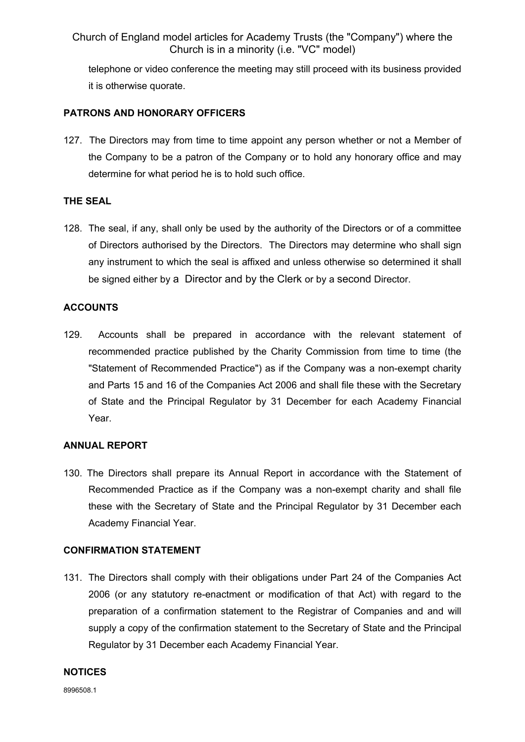telephone or video conference the meeting may still proceed with its business provided it is otherwise quorate.

### **PATRONS AND HONORARY OFFICERS**

127. The Directors may from time to time appoint any person whether or not a Member of the Company to be a patron of the Company or to hold any honorary office and may determine for what period he is to hold such office.

## **THE SEAL**

128. The seal, if any, shall only be used by the authority of the Directors or of a committee of Directors authorised by the Directors. The Directors may determine who shall sign any instrument to which the seal is affixed and unless otherwise so determined it shall be signed either by a Director and by the Clerk or by a second Director.

## **ACCOUNTS**

129. Accounts shall be prepared in accordance with the relevant statement of recommended practice published by the Charity Commission from time to time (the "Statement of Recommended Practice") as if the Company was a non-exempt charity and Parts 15 and 16 of the Companies Act 2006 and shall file these with the Secretary of State and the Principal Regulator by 31 December for each Academy Financial Year.

#### **ANNUAL REPORT**

130. The Directors shall prepare its Annual Report in accordance with the Statement of Recommended Practice as if the Company was a non-exempt charity and shall file these with the Secretary of State and the Principal Regulator by 31 December each Academy Financial Year.

#### **CONFIRMATION STATEMENT**

131. The Directors shall comply with their obligations under Part 24 of the Companies Act 2006 (or any statutory re-enactment or modification of that Act) with regard to the preparation of a confirmation statement to the Registrar of Companies and and will supply a copy of the confirmation statement to the Secretary of State and the Principal Regulator by 31 December each Academy Financial Year.

#### **NOTICES**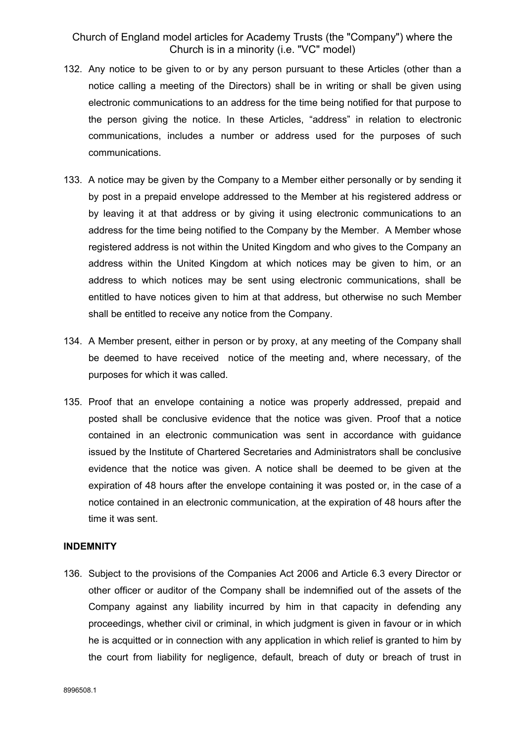- 132. Any notice to be given to or by any person pursuant to these Articles (other than a notice calling a meeting of the Directors) shall be in writing or shall be given using electronic communications to an address for the time being notified for that purpose to the person giving the notice. In these Articles, "address" in relation to electronic communications, includes a number or address used for the purposes of such communications.
- 133. A notice may be given by the Company to a Member either personally or by sending it by post in a prepaid envelope addressed to the Member at his registered address or by leaving it at that address or by giving it using electronic communications to an address for the time being notified to the Company by the Member. A Member whose registered address is not within the United Kingdom and who gives to the Company an address within the United Kingdom at which notices may be given to him, or an address to which notices may be sent using electronic communications, shall be entitled to have notices given to him at that address, but otherwise no such Member shall be entitled to receive any notice from the Company.
- 134. A Member present, either in person or by proxy, at any meeting of the Company shall be deemed to have received notice of the meeting and, where necessary, of the purposes for which it was called.
- 135. Proof that an envelope containing a notice was properly addressed, prepaid and posted shall be conclusive evidence that the notice was given. Proof that a notice contained in an electronic communication was sent in accordance with guidance issued by the Institute of Chartered Secretaries and Administrators shall be conclusive evidence that the notice was given. A notice shall be deemed to be given at the expiration of 48 hours after the envelope containing it was posted or, in the case of a notice contained in an electronic communication, at the expiration of 48 hours after the time it was sent.

#### **INDEMNITY**

136. Subject to the provisions of the Companies Act 2006 and Article 6.3 every Director or other officer or auditor of the Company shall be indemnified out of the assets of the Company against any liability incurred by him in that capacity in defending any proceedings, whether civil or criminal, in which judgment is given in favour or in which he is acquitted or in connection with any application in which relief is granted to him by the court from liability for negligence, default, breach of duty or breach of trust in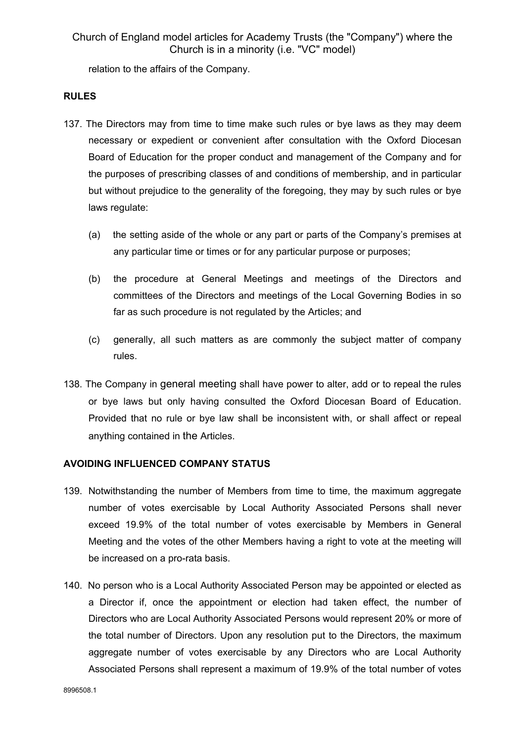relation to the affairs of the Company.

#### **RULES**

- 137. The Directors may from time to time make such rules or bye laws as they may deem necessary or expedient or convenient after consultation with the Oxford Diocesan Board of Education for the proper conduct and management of the Company and for the purposes of prescribing classes of and conditions of membership, and in particular but without prejudice to the generality of the foregoing, they may by such rules or bye laws regulate:
	- (a) the setting aside of the whole or any part or parts of the Company's premises at any particular time or times or for any particular purpose or purposes;
	- (b) the procedure at General Meetings and meetings of the Directors and committees of the Directors and meetings of the Local Governing Bodies in so far as such procedure is not regulated by the Articles; and
	- (c) generally, all such matters as are commonly the subject matter of company rules.
- 138. The Company in general meeting shall have power to alter, add or to repeal the rules or bye laws but only having consulted the Oxford Diocesan Board of Education. Provided that no rule or bye law shall be inconsistent with, or shall affect or repeal anything contained in the Articles.

## **AVOIDING INFLUENCED COMPANY STATUS**

- 139. Notwithstanding the number of Members from time to time, the maximum aggregate number of votes exercisable by Local Authority Associated Persons shall never exceed 19.9% of the total number of votes exercisable by Members in General Meeting and the votes of the other Members having a right to vote at the meeting will be increased on a pro-rata basis.
- 140. No person who is a Local Authority Associated Person may be appointed or elected as a Director if, once the appointment or election had taken effect, the number of Directors who are Local Authority Associated Persons would represent 20% or more of the total number of Directors. Upon any resolution put to the Directors, the maximum aggregate number of votes exercisable by any Directors who are Local Authority Associated Persons shall represent a maximum of 19.9% of the total number of votes